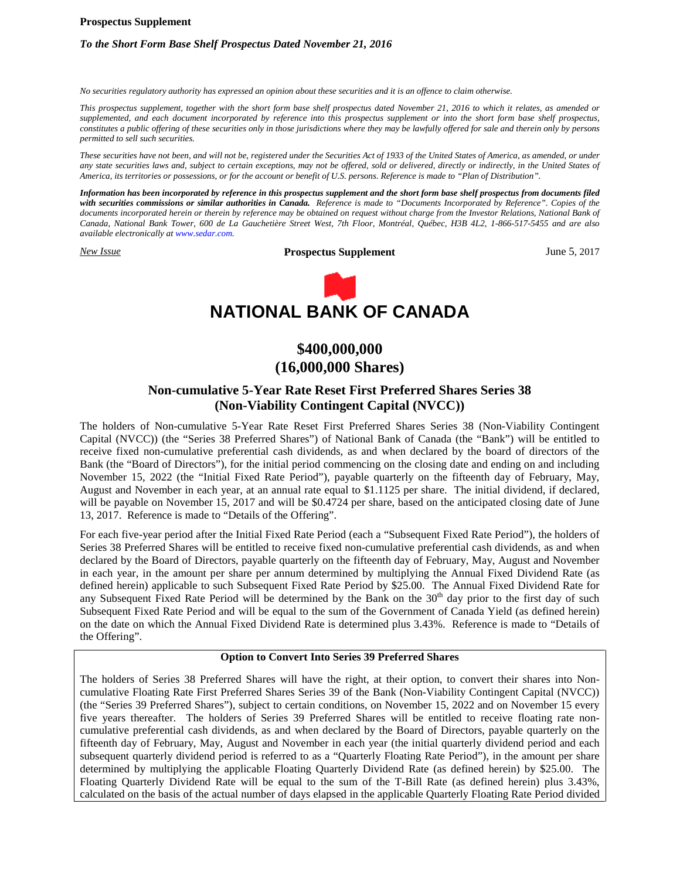#### **Prospectus Supplement**

## *To the Short Form Base Shelf Prospectus Dated November 21, 2016*

*No securities regulatory authority has expressed an opinion about these securities and it is an offence to claim otherwise.*

*This prospectus supplement, together with the short form base shelf prospectus dated November 21, 2016 to which it relates, as amended or supplemented, and each document incorporated by reference into this prospectus supplement or into the short form base shelf prospectus, constitutes a public offering of these securities only in those jurisdictions where they may be lawfully offered for sale and therein only by persons permitted to sell such securities.*

*These securities have not been, and will not be, registered under the Securities Act of 1933 of the United States of America, as amended, or under any state securities laws and, subject to certain exceptions, may not be offered, sold or delivered, directly or indirectly, in the United States of America, its territories or possessions, or for the account or benefit of U.S. persons. Reference is made to "Plan of Distribution".*

*Information has been incorporated by reference in this prospectus supplement and the short form base shelf prospectus from documents filed with securities commissions or similar authorities in Canada. Reference is made to "Documents Incorporated by Reference". Copies of the documents incorporated herein or therein by reference may be obtained on request without charge from the Investor Relations, National Bank of Canada, National Bank Tower, 600 de La Gauchetière Street West, 7th Floor, Montréal, Québec, H3B 4L2, 1-866-517-5455 and are also available electronically at www.sedar.com.*

*New Issue* **Prospectus Supplement** June 5, 2017



# **\$400,000,000 (16,000,000 Shares)**

## **Non-cumulative 5-Year Rate Reset First Preferred Shares Series 38 (Non-Viability Contingent Capital (NVCC))**

The holders of Non-cumulative 5-Year Rate Reset First Preferred Shares Series 38 (Non-Viability Contingent Capital (NVCC)) (the "Series 38 Preferred Shares") of National Bank of Canada (the "Bank") will be entitled to receive fixed non-cumulative preferential cash dividends, as and when declared by the board of directors of the Bank (the "Board of Directors"), for the initial period commencing on the closing date and ending on and including November 15, 2022 (the "Initial Fixed Rate Period"), payable quarterly on the fifteenth day of February, May, August and November in each year, at an annual rate equal to \$1.1125 per share. The initial dividend, if declared, will be payable on November 15, 2017 and will be \$0.4724 per share, based on the anticipated closing date of June 13, 2017. Reference is made to "Details of the Offering".

For each five-year period after the Initial Fixed Rate Period (each a "Subsequent Fixed Rate Period"), the holders of Series 38 Preferred Shares will be entitled to receive fixed non-cumulative preferential cash dividends, as and when declared by the Board of Directors, payable quarterly on the fifteenth day of February, May, August and November in each year, in the amount per share per annum determined by multiplying the Annual Fixed Dividend Rate (as defined herein) applicable to such Subsequent Fixed Rate Period by \$25.00. The Annual Fixed Dividend Rate for any Subsequent Fixed Rate Period will be determined by the Bank on the 30<sup>th</sup> day prior to the first day of such Subsequent Fixed Rate Period and will be equal to the sum of the Government of Canada Yield (as defined herein) on the date on which the Annual Fixed Dividend Rate is determined plus 3.43%. Reference is made to "Details of the Offering".

## **Option to Convert Into Series 39 Preferred Shares**

The holders of Series 38 Preferred Shares will have the right, at their option, to convert their shares into Noncumulative Floating Rate First Preferred Shares Series 39 of the Bank (Non-Viability Contingent Capital (NVCC)) (the "Series 39 Preferred Shares"), subject to certain conditions, on November 15, 2022 and on November 15 every five years thereafter. The holders of Series 39 Preferred Shares will be entitled to receive floating rate noncumulative preferential cash dividends, as and when declared by the Board of Directors, payable quarterly on the fifteenth day of February, May, August and November in each year (the initial quarterly dividend period and each subsequent quarterly dividend period is referred to as a "Quarterly Floating Rate Period"), in the amount per share determined by multiplying the applicable Floating Quarterly Dividend Rate (as defined herein) by \$25.00. The Floating Quarterly Dividend Rate will be equal to the sum of the T-Bill Rate (as defined herein) plus 3.43%, calculated on the basis of the actual number of days elapsed in the applicable Quarterly Floating Rate Period divided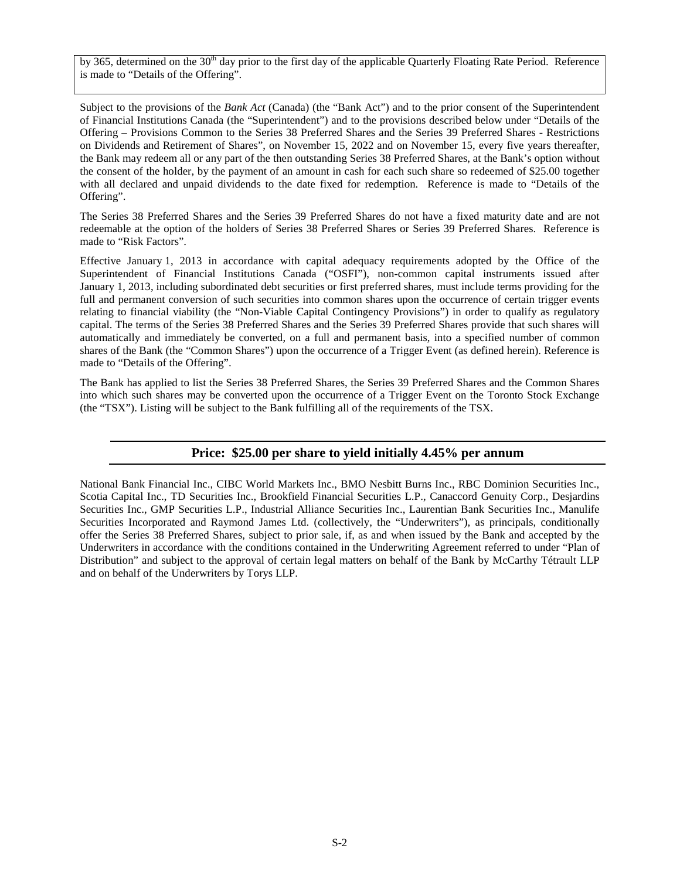by 365, determined on the 30<sup>th</sup> day prior to the first day of the applicable Quarterly Floating Rate Period. Reference is made to "Details of the Offering".

Subject to the provisions of the *Bank Act* (Canada) (the "Bank Act") and to the prior consent of the Superintendent of Financial Institutions Canada (the "Superintendent") and to the provisions described below under "Details of the Offering – Provisions Common to the Series 38 Preferred Shares and the Series 39 Preferred Shares - Restrictions on Dividends and Retirement of Shares", on November 15, 2022 and on November 15, every five years thereafter, the Bank may redeem all or any part of the then outstanding Series 38 Preferred Shares, at the Bank's option without the consent of the holder, by the payment of an amount in cash for each such share so redeemed of \$25.00 together with all declared and unpaid dividends to the date fixed for redemption. Reference is made to "Details of the Offering".

The Series 38 Preferred Shares and the Series 39 Preferred Shares do not have a fixed maturity date and are not redeemable at the option of the holders of Series 38 Preferred Shares or Series 39 Preferred Shares. Reference is made to "Risk Factors".

Effective January 1, 2013 in accordance with capital adequacy requirements adopted by the Office of the Superintendent of Financial Institutions Canada ("OSFI"), non-common capital instruments issued after January 1, 2013, including subordinated debt securities or first preferred shares, must include terms providing for the full and permanent conversion of such securities into common shares upon the occurrence of certain trigger events relating to financial viability (the "Non-Viable Capital Contingency Provisions") in order to qualify as regulatory capital. The terms of the Series 38 Preferred Shares and the Series 39 Preferred Shares provide that such shares will automatically and immediately be converted, on a full and permanent basis, into a specified number of common shares of the Bank (the "Common Shares") upon the occurrence of a Trigger Event (as defined herein). Reference is made to "Details of the Offering".

The Bank has applied to list the Series 38 Preferred Shares, the Series 39 Preferred Shares and the Common Shares into which such shares may be converted upon the occurrence of a Trigger Event on the Toronto Stock Exchange (the "TSX"). Listing will be subject to the Bank fulfilling all of the requirements of the TSX.

## **Price: \$25.00 per share to yield initially 4.45% per annum**

National Bank Financial Inc., CIBC World Markets Inc., BMO Nesbitt Burns Inc., RBC Dominion Securities Inc., Scotia Capital Inc., TD Securities Inc., Brookfield Financial Securities L.P., Canaccord Genuity Corp., Desjardins Securities Inc., GMP Securities L.P., Industrial Alliance Securities Inc., Laurentian Bank Securities Inc., Manulife Securities Incorporated and Raymond James Ltd. (collectively, the "Underwriters"), as principals, conditionally offer the Series 38 Preferred Shares, subject to prior sale, if, as and when issued by the Bank and accepted by the Underwriters in accordance with the conditions contained in the Underwriting Agreement referred to under "Plan of Distribution" and subject to the approval of certain legal matters on behalf of the Bank by McCarthy Tétrault LLP and on behalf of the Underwriters by Torys LLP.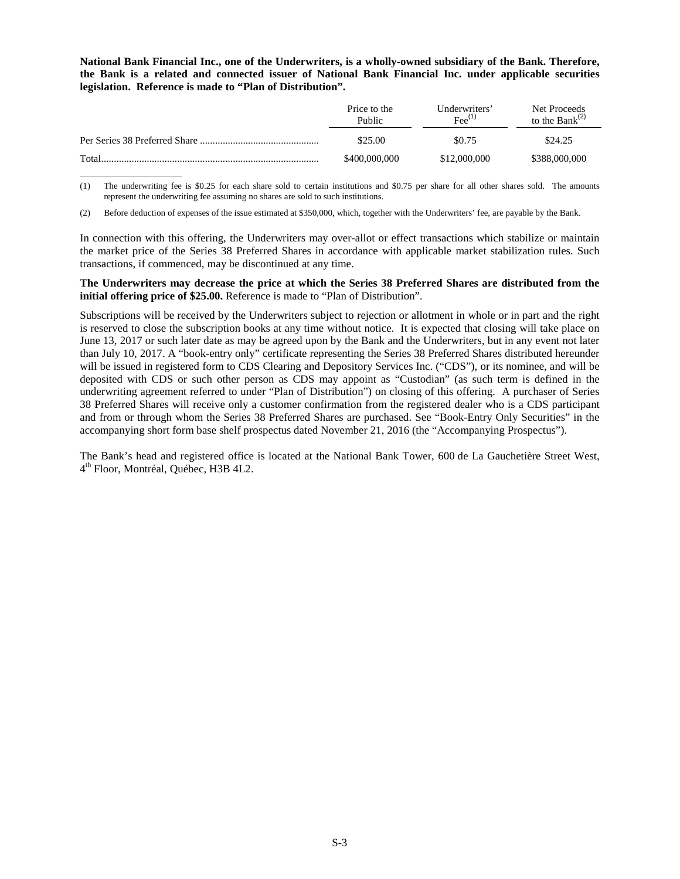**National Bank Financial Inc., one of the Underwriters, is a wholly-owned subsidiary of the Bank. Therefore, the Bank is a related and connected issuer of National Bank Financial Inc. under applicable securities legislation. Reference is made to "Plan of Distribution".**

|       | Price to the<br>Public | Underwriters'<br>$\mathrm{Fee}^{(1)}$ | Net Proceeds<br>to the Bank $^{(2)}$ |
|-------|------------------------|---------------------------------------|--------------------------------------|
|       | \$25.00                | \$0.75                                | \$24.25                              |
| Total | \$400,000,000          | \$12,000,000                          | \$388,000,000                        |

(1) The underwriting fee is \$0.25 for each share sold to certain institutions and \$0.75 per share for all other shares sold. The amounts represent the underwriting fee assuming no shares are sold to such institutions.

(2) Before deduction of expenses of the issue estimated at \$350,000, which, together with the Underwriters' fee, are payable by the Bank.

\_\_\_\_\_\_\_\_\_\_\_\_\_\_\_\_\_\_\_\_\_\_\_

In connection with this offering, the Underwriters may over-allot or effect transactions which stabilize or maintain the market price of the Series 38 Preferred Shares in accordance with applicable market stabilization rules. Such transactions, if commenced, may be discontinued at any time.

## **The Underwriters may decrease the price at which the Series 38 Preferred Shares are distributed from the initial offering price of \$25.00.** Reference is made to "Plan of Distribution".

Subscriptions will be received by the Underwriters subject to rejection or allotment in whole or in part and the right is reserved to close the subscription books at any time without notice. It is expected that closing will take place on June 13, 2017 or such later date as may be agreed upon by the Bank and the Underwriters, but in any event not later than July 10, 2017. A "book-entry only" certificate representing the Series 38 Preferred Shares distributed hereunder will be issued in registered form to CDS Clearing and Depository Services Inc. ("CDS"), or its nominee, and will be deposited with CDS or such other person as CDS may appoint as "Custodian" (as such term is defined in the underwriting agreement referred to under "Plan of Distribution") on closing of this offering. A purchaser of Series 38 Preferred Shares will receive only a customer confirmation from the registered dealer who is a CDS participant and from or through whom the Series 38 Preferred Shares are purchased. See "Book-Entry Only Securities" in the accompanying short form base shelf prospectus dated November 21, 2016 (the "Accompanying Prospectus").

The Bank's head and registered office is located at the National Bank Tower, 600 de La Gauchetière Street West, 4 th Floor, Montréal, Québec, H3B 4L2.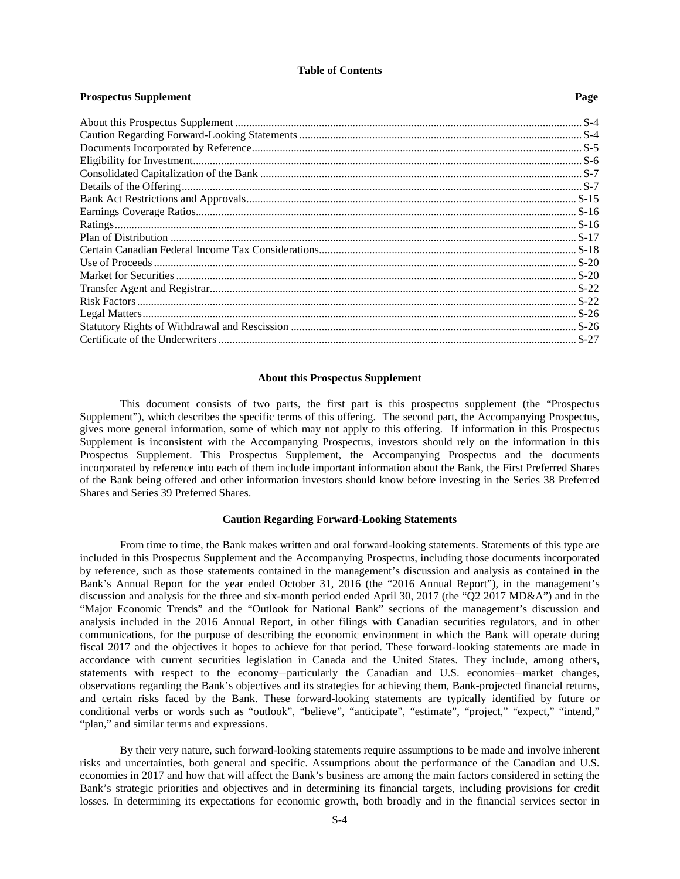#### **Table of Contents**

**Prospectus Supplement Page**

| 1 гозресниз эприсшени |  |
|-----------------------|--|
|                       |  |
|                       |  |
|                       |  |
|                       |  |
|                       |  |
|                       |  |
|                       |  |
|                       |  |
|                       |  |
|                       |  |
|                       |  |
|                       |  |
|                       |  |
|                       |  |
|                       |  |
|                       |  |
|                       |  |
|                       |  |
|                       |  |

## <span id="page-3-0"></span>**About this Prospectus Supplement**

This document consists of two parts, the first part is this prospectus supplement (the "Prospectus Supplement"), which describes the specific terms of this offering. The second part, the Accompanying Prospectus, gives more general information, some of which may not apply to this offering. If information in this Prospectus Supplement is inconsistent with the Accompanying Prospectus, investors should rely on the information in this Prospectus Supplement. This Prospectus Supplement, the Accompanying Prospectus and the documents incorporated by reference into each of them include important information about the Bank, the First Preferred Shares of the Bank being offered and other information investors should know before investing in the Series 38 Preferred Shares and Series 39 Preferred Shares.

## <span id="page-3-1"></span>**Caution Regarding Forward-Looking Statements**

From time to time, the Bank makes written and oral forward-looking statements. Statements of this type are included in this Prospectus Supplement and the Accompanying Prospectus, including those documents incorporated by reference, such as those statements contained in the management's discussion and analysis as contained in the Bank's Annual Report for the year ended October 31, 2016 (the "2016 Annual Report"), in the management's discussion and analysis for the three and six-month period ended April 30, 2017 (the "Q2 2017 MD&A") and in the "Major Economic Trends" and the "Outlook for National Bank" sections of the management's discussion and analysis included in the 2016 Annual Report, in other filings with Canadian securities regulators, and in other communications, for the purpose of describing the economic environment in which the Bank will operate during fiscal 2017 and the objectives it hopes to achieve for that period. These forward-looking statements are made in accordance with current securities legislation in Canada and the United States. They include, among others, statements with respect to the economy—particularly the Canadian and U.S. economies—market changes, observations regarding the Bank's objectives and its strategies for achieving them, Bank-projected financial returns, and certain risks faced by the Bank. These forward-looking statements are typically identified by future or conditional verbs or words such as "outlook", "believe", "anticipate", "estimate", "project," "expect," "intend," "plan," and similar terms and expressions.

By their very nature, such forward-looking statements require assumptions to be made and involve inherent risks and uncertainties, both general and specific. Assumptions about the performance of the Canadian and U.S. economies in 2017 and how that will affect the Bank's business are among the main factors considered in setting the Bank's strategic priorities and objectives and in determining its financial targets, including provisions for credit losses. In determining its expectations for economic growth, both broadly and in the financial services sector in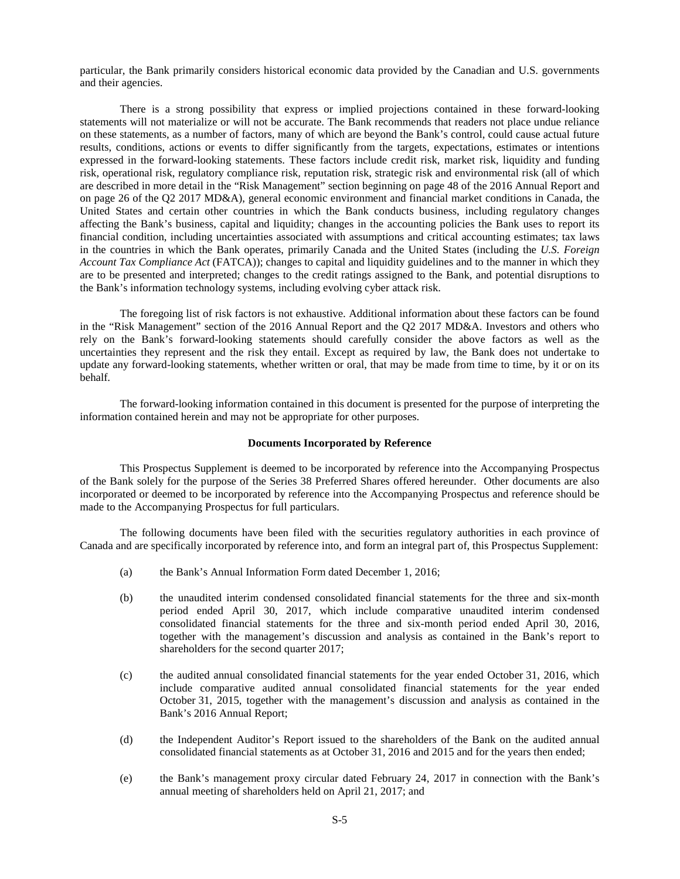particular, the Bank primarily considers historical economic data provided by the Canadian and U.S. governments and their agencies.

There is a strong possibility that express or implied projections contained in these forward-looking statements will not materialize or will not be accurate. The Bank recommends that readers not place undue reliance on these statements, as a number of factors, many of which are beyond the Bank's control, could cause actual future results, conditions, actions or events to differ significantly from the targets, expectations, estimates or intentions expressed in the forward-looking statements. These factors include credit risk, market risk, liquidity and funding risk, operational risk, regulatory compliance risk, reputation risk, strategic risk and environmental risk (all of which are described in more detail in the "Risk Management" section beginning on page 48 of the 2016 Annual Report and on page 26 of the Q2 2017 MD&A), general economic environment and financial market conditions in Canada, the United States and certain other countries in which the Bank conducts business, including regulatory changes affecting the Bank's business, capital and liquidity; changes in the accounting policies the Bank uses to report its financial condition, including uncertainties associated with assumptions and critical accounting estimates; tax laws in the countries in which the Bank operates, primarily Canada and the United States (including the *U.S. Foreign Account Tax Compliance Act* (FATCA)); changes to capital and liquidity guidelines and to the manner in which they are to be presented and interpreted; changes to the credit ratings assigned to the Bank, and potential disruptions to the Bank's information technology systems, including evolving cyber attack risk.

The foregoing list of risk factors is not exhaustive. Additional information about these factors can be found in the "Risk Management" section of the 2016 Annual Report and the Q2 2017 MD&A. Investors and others who rely on the Bank's forward-looking statements should carefully consider the above factors as well as the uncertainties they represent and the risk they entail. Except as required by law, the Bank does not undertake to update any forward-looking statements, whether written or oral, that may be made from time to time, by it or on its behalf.

The forward-looking information contained in this document is presented for the purpose of interpreting the information contained herein and may not be appropriate for other purposes.

#### <span id="page-4-0"></span>**Documents Incorporated by Reference**

This Prospectus Supplement is deemed to be incorporated by reference into the Accompanying Prospectus of the Bank solely for the purpose of the Series 38 Preferred Shares offered hereunder. Other documents are also incorporated or deemed to be incorporated by reference into the Accompanying Prospectus and reference should be made to the Accompanying Prospectus for full particulars.

The following documents have been filed with the securities regulatory authorities in each province of Canada and are specifically incorporated by reference into, and form an integral part of, this Prospectus Supplement:

- (a) the Bank's Annual Information Form dated December 1, 2016;
- (b) the unaudited interim condensed consolidated financial statements for the three and six-month period ended April 30, 2017, which include comparative unaudited interim condensed consolidated financial statements for the three and six-month period ended April 30, 2016, together with the management's discussion and analysis as contained in the Bank's report to shareholders for the second quarter 2017;
- (c) the audited annual consolidated financial statements for the year ended October 31, 2016, which include comparative audited annual consolidated financial statements for the year ended October 31, 2015, together with the management's discussion and analysis as contained in the Bank's 2016 Annual Report;
- (d) the Independent Auditor's Report issued to the shareholders of the Bank on the audited annual consolidated financial statements as at October 31, 2016 and 2015 and for the years then ended;
- (e) the Bank's management proxy circular dated February 24, 2017 in connection with the Bank's annual meeting of shareholders held on April 21, 2017; and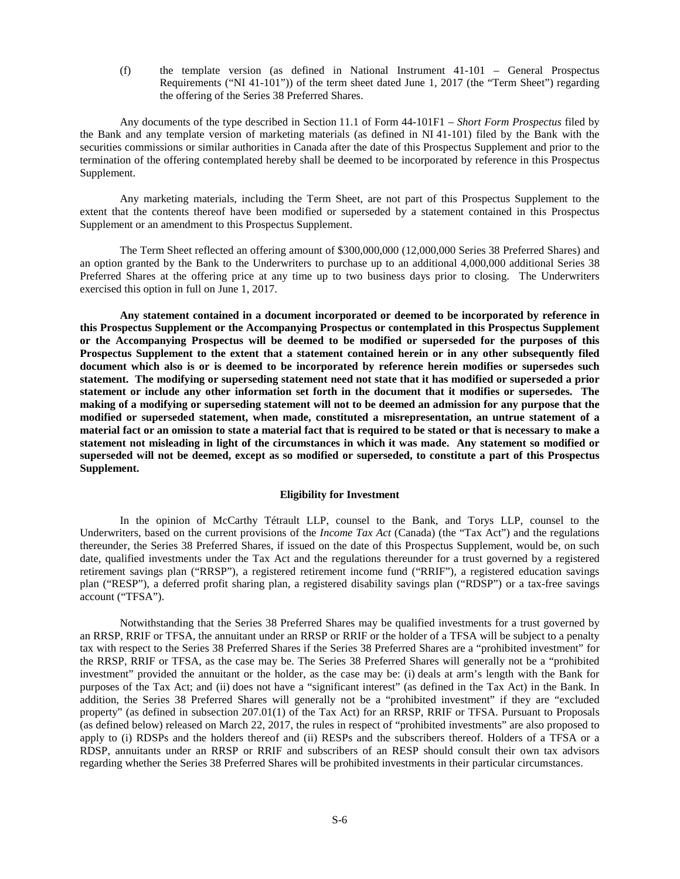(f) the template version (as defined in National Instrument 41-101 – General Prospectus Requirements ("NI 41-101")) of the term sheet dated June 1, 2017 (the "Term Sheet") regarding the offering of the Series 38 Preferred Shares.

Any documents of the type described in Section 11.1 of Form 44-101F1 – *Short Form Prospectus* filed by the Bank and any template version of marketing materials (as defined in NI 41-101) filed by the Bank with the securities commissions or similar authorities in Canada after the date of this Prospectus Supplement and prior to the termination of the offering contemplated hereby shall be deemed to be incorporated by reference in this Prospectus Supplement.

Any marketing materials, including the Term Sheet, are not part of this Prospectus Supplement to the extent that the contents thereof have been modified or superseded by a statement contained in this Prospectus Supplement or an amendment to this Prospectus Supplement.

The Term Sheet reflected an offering amount of \$300,000,000 (12,000,000 Series 38 Preferred Shares) and an option granted by the Bank to the Underwriters to purchase up to an additional 4,000,000 additional Series 38 Preferred Shares at the offering price at any time up to two business days prior to closing. The Underwriters exercised this option in full on June 1, 2017.

**Any statement contained in a document incorporated or deemed to be incorporated by reference in this Prospectus Supplement or the Accompanying Prospectus or contemplated in this Prospectus Supplement or the Accompanying Prospectus will be deemed to be modified or superseded for the purposes of this Prospectus Supplement to the extent that a statement contained herein or in any other subsequently filed document which also is or is deemed to be incorporated by reference herein modifies or supersedes such statement. The modifying or superseding statement need not state that it has modified or superseded a prior statement or include any other information set forth in the document that it modifies or supersedes. The making of a modifying or superseding statement will not to be deemed an admission for any purpose that the modified or superseded statement, when made, constituted a misrepresentation, an untrue statement of a material fact or an omission to state a material fact that is required to be stated or that is necessary to make a statement not misleading in light of the circumstances in which it was made. Any statement so modified or superseded will not be deemed, except as so modified or superseded, to constitute a part of this Prospectus Supplement.**

## <span id="page-5-0"></span>**Eligibility for Investment**

In the opinion of McCarthy Tétrault LLP, counsel to the Bank, and Torys LLP, counsel to the Underwriters, based on the current provisions of the *Income Tax Act* (Canada) (the "Tax Act") and the regulations thereunder, the Series 38 Preferred Shares, if issued on the date of this Prospectus Supplement, would be, on such date, qualified investments under the Tax Act and the regulations thereunder for a trust governed by a registered retirement savings plan ("RRSP"), a registered retirement income fund ("RRIF"), a registered education savings plan ("RESP"), a deferred profit sharing plan, a registered disability savings plan ("RDSP") or a tax-free savings account ("TFSA").

Notwithstanding that the Series 38 Preferred Shares may be qualified investments for a trust governed by an RRSP, RRIF or TFSA, the annuitant under an RRSP or RRIF or the holder of a TFSA will be subject to a penalty tax with respect to the Series 38 Preferred Shares if the Series 38 Preferred Shares are a "prohibited investment" for the RRSP, RRIF or TFSA, as the case may be. The Series 38 Preferred Shares will generally not be a "prohibited investment" provided the annuitant or the holder, as the case may be: (i) deals at arm's length with the Bank for purposes of the Tax Act; and (ii) does not have a "significant interest" (as defined in the Tax Act) in the Bank. In addition, the Series 38 Preferred Shares will generally not be a "prohibited investment" if they are "excluded property" (as defined in subsection 207.01(1) of the Tax Act) for an RRSP, RRIF or TFSA. Pursuant to Proposals (as defined below) released on March 22, 2017, the rules in respect of "prohibited investments" are also proposed to apply to (i) RDSPs and the holders thereof and (ii) RESPs and the subscribers thereof. Holders of a TFSA or a RDSP, annuitants under an RRSP or RRIF and subscribers of an RESP should consult their own tax advisors regarding whether the Series 38 Preferred Shares will be prohibited investments in their particular circumstances.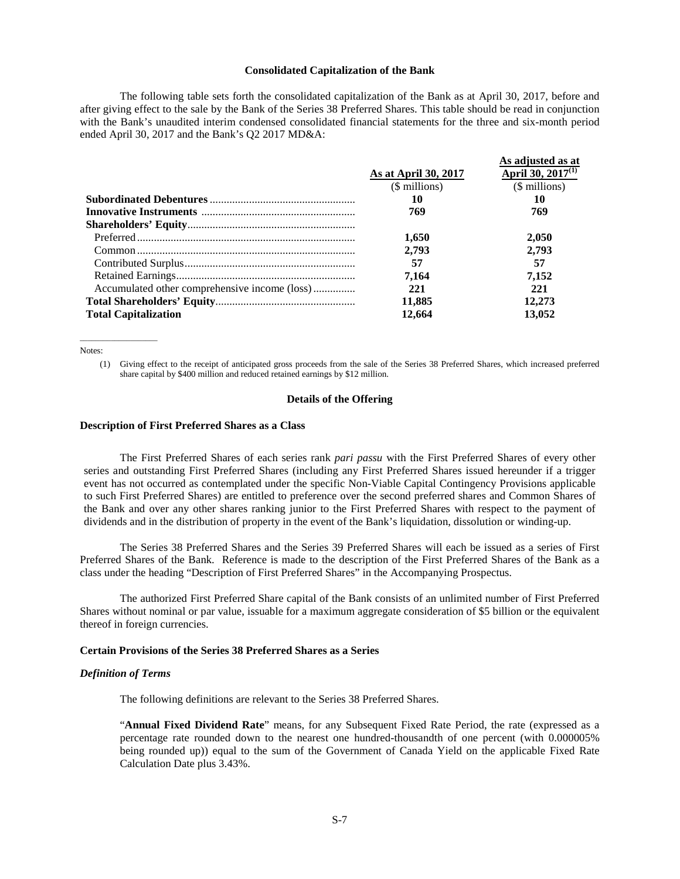#### <span id="page-6-0"></span>**Consolidated Capitalization of the Bank**

The following table sets forth the consolidated capitalization of the Bank as at April 30, 2017, before and after giving effect to the sale by the Bank of the Series 38 Preferred Shares. This table should be read in conjunction with the Bank's unaudited interim condensed consolidated financial statements for the three and six-month period ended April 30, 2017 and the Bank's Q2 2017 MD&A:

|                                               | As at April 30, 2017<br>(\$ millions) | As adjusted as at<br>April 30, 2017 <sup>(1)</sup><br>$($$ millions) |
|-----------------------------------------------|---------------------------------------|----------------------------------------------------------------------|
|                                               | 10                                    | 10                                                                   |
|                                               | 769                                   | 769                                                                  |
|                                               |                                       |                                                                      |
|                                               | 1,650                                 | 2.050                                                                |
|                                               | 2.793                                 | 2.793                                                                |
|                                               | 57                                    | 57                                                                   |
|                                               | 7.164                                 | 7.152                                                                |
| Accumulated other comprehensive income (loss) | 221                                   | 221                                                                  |
|                                               | 11,885                                | 12,273                                                               |
| <b>Total Capitalization</b>                   | 12.664                                | 13,052                                                               |

Notes:

 $\overline{\phantom{a}}$  , where  $\overline{\phantom{a}}$  , where  $\overline{\phantom{a}}$ 

(1) Giving effect to the receipt of anticipated gross proceeds from the sale of the Series 38 Preferred Shares, which increased preferred share capital by \$400 million and reduced retained earnings by \$12 million.

#### <span id="page-6-1"></span>**Details of the Offering**

### **Description of First Preferred Shares as a Class**

The First Preferred Shares of each series rank *pari passu* with the First Preferred Shares of every other series and outstanding First Preferred Shares (including any First Preferred Shares issued hereunder if a trigger event has not occurred as contemplated under the specific Non-Viable Capital Contingency Provisions applicable to such First Preferred Shares) are entitled to preference over the second preferred shares and Common Shares of the Bank and over any other shares ranking junior to the First Preferred Shares with respect to the payment of dividends and in the distribution of property in the event of the Bank's liquidation, dissolution or winding-up.

The Series 38 Preferred Shares and the Series 39 Preferred Shares will each be issued as a series of First Preferred Shares of the Bank. Reference is made to the description of the First Preferred Shares of the Bank as a class under the heading "Description of First Preferred Shares" in the Accompanying Prospectus.

The authorized First Preferred Share capital of the Bank consists of an unlimited number of First Preferred Shares without nominal or par value, issuable for a maximum aggregate consideration of \$5 billion or the equivalent thereof in foreign currencies.

#### **Certain Provisions of the Series 38 Preferred Shares as a Series**

#### *Definition of Terms*

The following definitions are relevant to the Series 38 Preferred Shares.

"**Annual Fixed Dividend Rate**" means, for any Subsequent Fixed Rate Period, the rate (expressed as a percentage rate rounded down to the nearest one hundred-thousandth of one percent (with 0.000005% being rounded up)) equal to the sum of the Government of Canada Yield on the applicable Fixed Rate Calculation Date plus 3.43%.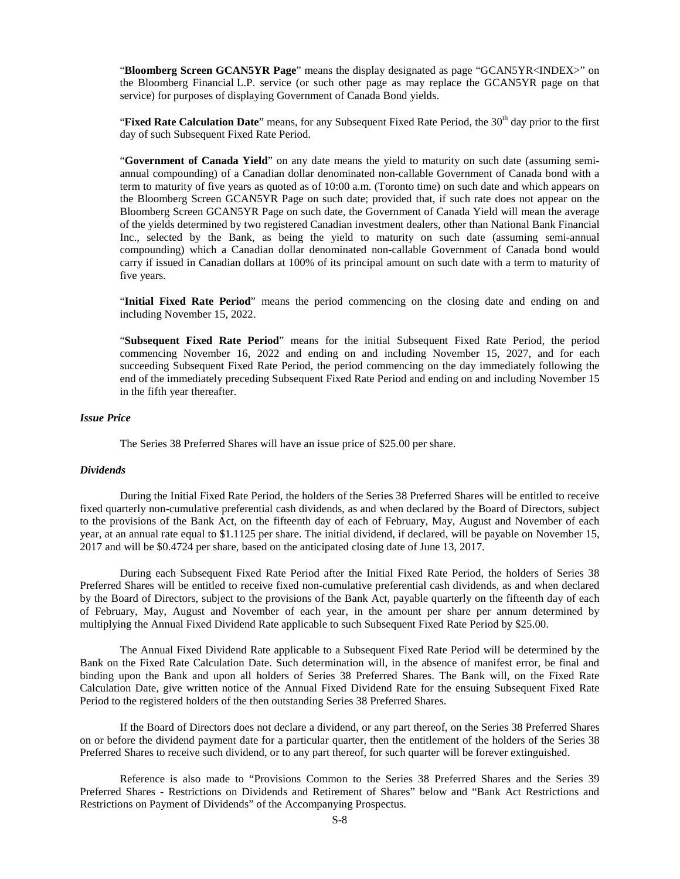"**Bloomberg Screen GCAN5YR Page**" means the display designated as page "GCAN5YR<INDEX>" on the Bloomberg Financial L.P. service (or such other page as may replace the GCAN5YR page on that service) for purposes of displaying Government of Canada Bond yields.

"**Fixed Rate Calculation Date**" means, for any Subsequent Fixed Rate Period, the 30<sup>th</sup> day prior to the first day of such Subsequent Fixed Rate Period.

"**Government of Canada Yield**" on any date means the yield to maturity on such date (assuming semiannual compounding) of a Canadian dollar denominated non-callable Government of Canada bond with a term to maturity of five years as quoted as of 10:00 a.m. (Toronto time) on such date and which appears on the Bloomberg Screen GCAN5YR Page on such date; provided that, if such rate does not appear on the Bloomberg Screen GCAN5YR Page on such date, the Government of Canada Yield will mean the average of the yields determined by two registered Canadian investment dealers, other than National Bank Financial Inc., selected by the Bank, as being the yield to maturity on such date (assuming semi-annual compounding) which a Canadian dollar denominated non-callable Government of Canada bond would carry if issued in Canadian dollars at 100% of its principal amount on such date with a term to maturity of five years.

"**Initial Fixed Rate Period**" means the period commencing on the closing date and ending on and including November 15, 2022.

"**Subsequent Fixed Rate Period**" means for the initial Subsequent Fixed Rate Period, the period commencing November 16, 2022 and ending on and including November 15, 2027, and for each succeeding Subsequent Fixed Rate Period, the period commencing on the day immediately following the end of the immediately preceding Subsequent Fixed Rate Period and ending on and including November 15 in the fifth year thereafter.

## *Issue Price*

The Series 38 Preferred Shares will have an issue price of \$25.00 per share.

## *Dividends*

During the Initial Fixed Rate Period, the holders of the Series 38 Preferred Shares will be entitled to receive fixed quarterly non-cumulative preferential cash dividends, as and when declared by the Board of Directors, subject to the provisions of the Bank Act, on the fifteenth day of each of February, May, August and November of each year, at an annual rate equal to \$1.1125 per share. The initial dividend, if declared, will be payable on November 15, 2017 and will be \$0.4724 per share, based on the anticipated closing date of June 13, 2017.

During each Subsequent Fixed Rate Period after the Initial Fixed Rate Period, the holders of Series 38 Preferred Shares will be entitled to receive fixed non-cumulative preferential cash dividends, as and when declared by the Board of Directors, subject to the provisions of the Bank Act, payable quarterly on the fifteenth day of each of February, May, August and November of each year, in the amount per share per annum determined by multiplying the Annual Fixed Dividend Rate applicable to such Subsequent Fixed Rate Period by \$25.00.

The Annual Fixed Dividend Rate applicable to a Subsequent Fixed Rate Period will be determined by the Bank on the Fixed Rate Calculation Date. Such determination will, in the absence of manifest error, be final and binding upon the Bank and upon all holders of Series 38 Preferred Shares. The Bank will, on the Fixed Rate Calculation Date, give written notice of the Annual Fixed Dividend Rate for the ensuing Subsequent Fixed Rate Period to the registered holders of the then outstanding Series 38 Preferred Shares.

If the Board of Directors does not declare a dividend, or any part thereof, on the Series 38 Preferred Shares on or before the dividend payment date for a particular quarter, then the entitlement of the holders of the Series 38 Preferred Shares to receive such dividend, or to any part thereof, for such quarter will be forever extinguished.

Reference is also made to "Provisions Common to the Series 38 Preferred Shares and the Series 39 Preferred Shares - Restrictions on Dividends and Retirement of Shares" below and "Bank Act Restrictions and Restrictions on Payment of Dividends" of the Accompanying Prospectus.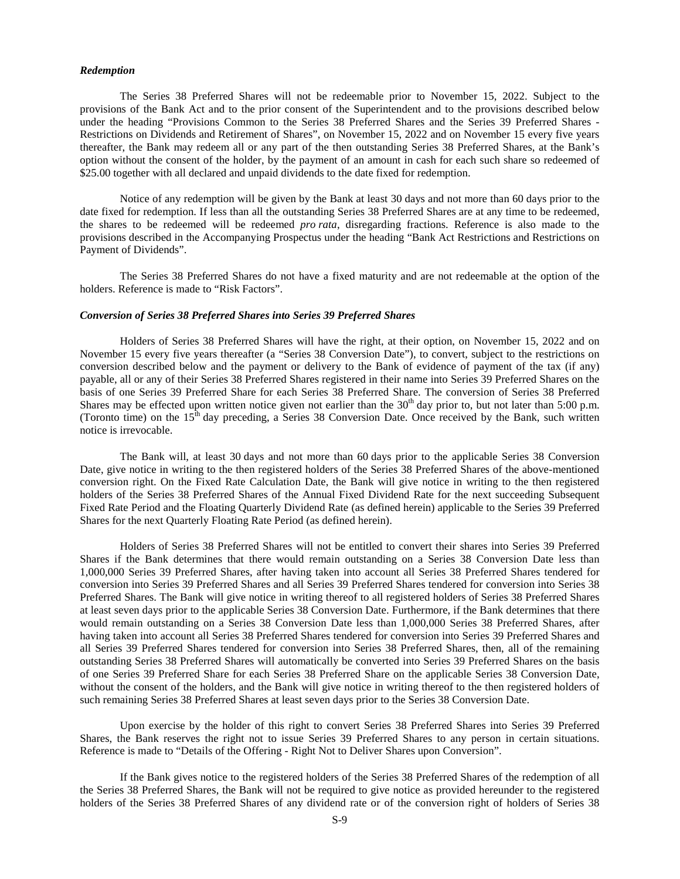#### *Redemption*

The Series 38 Preferred Shares will not be redeemable prior to November 15, 2022. Subject to the provisions of the Bank Act and to the prior consent of the Superintendent and to the provisions described below under the heading "Provisions Common to the Series 38 Preferred Shares and the Series 39 Preferred Shares - Restrictions on Dividends and Retirement of Shares", on November 15, 2022 and on November 15 every five years thereafter, the Bank may redeem all or any part of the then outstanding Series 38 Preferred Shares, at the Bank's option without the consent of the holder, by the payment of an amount in cash for each such share so redeemed of \$25.00 together with all declared and unpaid dividends to the date fixed for redemption.

Notice of any redemption will be given by the Bank at least 30 days and not more than 60 days prior to the date fixed for redemption. If less than all the outstanding Series 38 Preferred Shares are at any time to be redeemed, the shares to be redeemed will be redeemed *pro rata*, disregarding fractions. Reference is also made to the provisions described in the Accompanying Prospectus under the heading "Bank Act Restrictions and Restrictions on Payment of Dividends".

The Series 38 Preferred Shares do not have a fixed maturity and are not redeemable at the option of the holders. Reference is made to "Risk Factors".

#### *Conversion of Series 38 Preferred Shares into Series 39 Preferred Shares*

Holders of Series 38 Preferred Shares will have the right, at their option, on November 15, 2022 and on November 15 every five years thereafter (a "Series 38 Conversion Date"), to convert, subject to the restrictions on conversion described below and the payment or delivery to the Bank of evidence of payment of the tax (if any) payable, all or any of their Series 38 Preferred Shares registered in their name into Series 39 Preferred Shares on the basis of one Series 39 Preferred Share for each Series 38 Preferred Share. The conversion of Series 38 Preferred Shares may be effected upon written notice given not earlier than the  $30<sup>th</sup>$  day prior to, but not later than  $5:00$  p.m. (Toronto time) on the  $15<sup>th</sup>$  day preceding, a Series 38 Conversion Date. Once received by the Bank, such written notice is irrevocable.

The Bank will, at least 30 days and not more than 60 days prior to the applicable Series 38 Conversion Date, give notice in writing to the then registered holders of the Series 38 Preferred Shares of the above-mentioned conversion right. On the Fixed Rate Calculation Date, the Bank will give notice in writing to the then registered holders of the Series 38 Preferred Shares of the Annual Fixed Dividend Rate for the next succeeding Subsequent Fixed Rate Period and the Floating Quarterly Dividend Rate (as defined herein) applicable to the Series 39 Preferred Shares for the next Quarterly Floating Rate Period (as defined herein).

Holders of Series 38 Preferred Shares will not be entitled to convert their shares into Series 39 Preferred Shares if the Bank determines that there would remain outstanding on a Series 38 Conversion Date less than 1,000,000 Series 39 Preferred Shares, after having taken into account all Series 38 Preferred Shares tendered for conversion into Series 39 Preferred Shares and all Series 39 Preferred Shares tendered for conversion into Series 38 Preferred Shares. The Bank will give notice in writing thereof to all registered holders of Series 38 Preferred Shares at least seven days prior to the applicable Series 38 Conversion Date. Furthermore, if the Bank determines that there would remain outstanding on a Series 38 Conversion Date less than 1,000,000 Series 38 Preferred Shares, after having taken into account all Series 38 Preferred Shares tendered for conversion into Series 39 Preferred Shares and all Series 39 Preferred Shares tendered for conversion into Series 38 Preferred Shares, then, all of the remaining outstanding Series 38 Preferred Shares will automatically be converted into Series 39 Preferred Shares on the basis of one Series 39 Preferred Share for each Series 38 Preferred Share on the applicable Series 38 Conversion Date, without the consent of the holders, and the Bank will give notice in writing thereof to the then registered holders of such remaining Series 38 Preferred Shares at least seven days prior to the Series 38 Conversion Date.

Upon exercise by the holder of this right to convert Series 38 Preferred Shares into Series 39 Preferred Shares, the Bank reserves the right not to issue Series 39 Preferred Shares to any person in certain situations. Reference is made to "Details of the Offering - Right Not to Deliver Shares upon Conversion".

If the Bank gives notice to the registered holders of the Series 38 Preferred Shares of the redemption of all the Series 38 Preferred Shares, the Bank will not be required to give notice as provided hereunder to the registered holders of the Series 38 Preferred Shares of any dividend rate or of the conversion right of holders of Series 38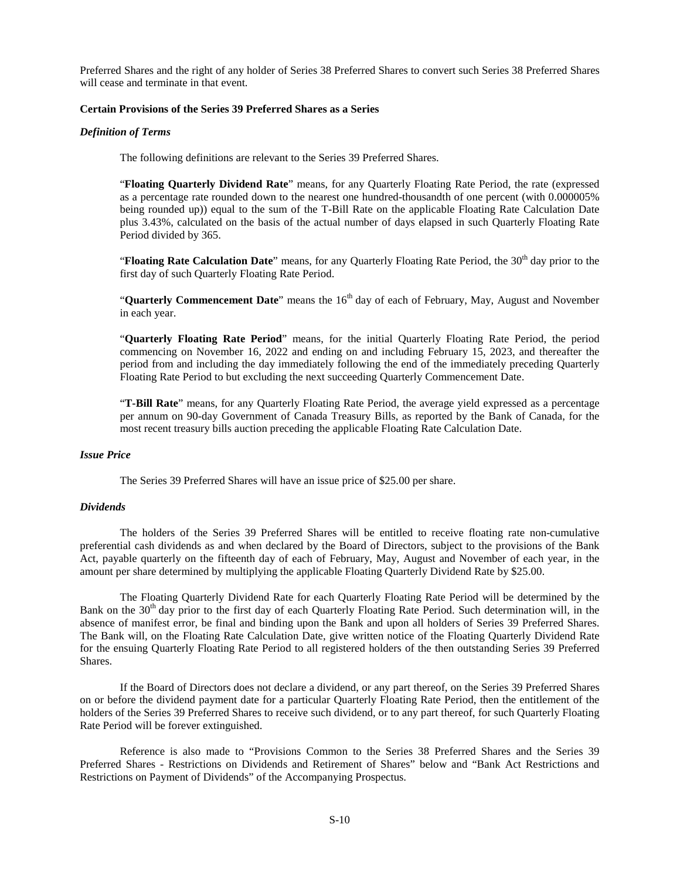Preferred Shares and the right of any holder of Series 38 Preferred Shares to convert such Series 38 Preferred Shares will cease and terminate in that event.

## **Certain Provisions of the Series 39 Preferred Shares as a Series**

## *Definition of Terms*

The following definitions are relevant to the Series 39 Preferred Shares.

"**Floating Quarterly Dividend Rate**" means, for any Quarterly Floating Rate Period, the rate (expressed as a percentage rate rounded down to the nearest one hundred-thousandth of one percent (with 0.000005% being rounded up)) equal to the sum of the T-Bill Rate on the applicable Floating Rate Calculation Date plus 3.43%, calculated on the basis of the actual number of days elapsed in such Quarterly Floating Rate Period divided by 365.

"**Floating Rate Calculation Date**" means, for any Quarterly Floating Rate Period, the 30<sup>th</sup> day prior to the first day of such Quarterly Floating Rate Period.

"**Quarterly Commencement Date**" means the 16<sup>th</sup> day of each of February, May, August and November in each year.

"**Quarterly Floating Rate Period**" means, for the initial Quarterly Floating Rate Period, the period commencing on November 16, 2022 and ending on and including February 15, 2023, and thereafter the period from and including the day immediately following the end of the immediately preceding Quarterly Floating Rate Period to but excluding the next succeeding Quarterly Commencement Date.

"**T-Bill Rate**" means, for any Quarterly Floating Rate Period, the average yield expressed as a percentage per annum on 90-day Government of Canada Treasury Bills, as reported by the Bank of Canada, for the most recent treasury bills auction preceding the applicable Floating Rate Calculation Date.

## *Issue Price*

The Series 39 Preferred Shares will have an issue price of \$25.00 per share.

## *Dividends*

The holders of the Series 39 Preferred Shares will be entitled to receive floating rate non-cumulative preferential cash dividends as and when declared by the Board of Directors, subject to the provisions of the Bank Act, payable quarterly on the fifteenth day of each of February, May, August and November of each year, in the amount per share determined by multiplying the applicable Floating Quarterly Dividend Rate by \$25.00.

The Floating Quarterly Dividend Rate for each Quarterly Floating Rate Period will be determined by the Bank on the 30<sup>th</sup> day prior to the first day of each Quarterly Floating Rate Period. Such determination will, in the absence of manifest error, be final and binding upon the Bank and upon all holders of Series 39 Preferred Shares. The Bank will, on the Floating Rate Calculation Date, give written notice of the Floating Quarterly Dividend Rate for the ensuing Quarterly Floating Rate Period to all registered holders of the then outstanding Series 39 Preferred Shares.

If the Board of Directors does not declare a dividend, or any part thereof, on the Series 39 Preferred Shares on or before the dividend payment date for a particular Quarterly Floating Rate Period, then the entitlement of the holders of the Series 39 Preferred Shares to receive such dividend, or to any part thereof, for such Quarterly Floating Rate Period will be forever extinguished.

Reference is also made to "Provisions Common to the Series 38 Preferred Shares and the Series 39 Preferred Shares - Restrictions on Dividends and Retirement of Shares" below and "Bank Act Restrictions and Restrictions on Payment of Dividends" of the Accompanying Prospectus.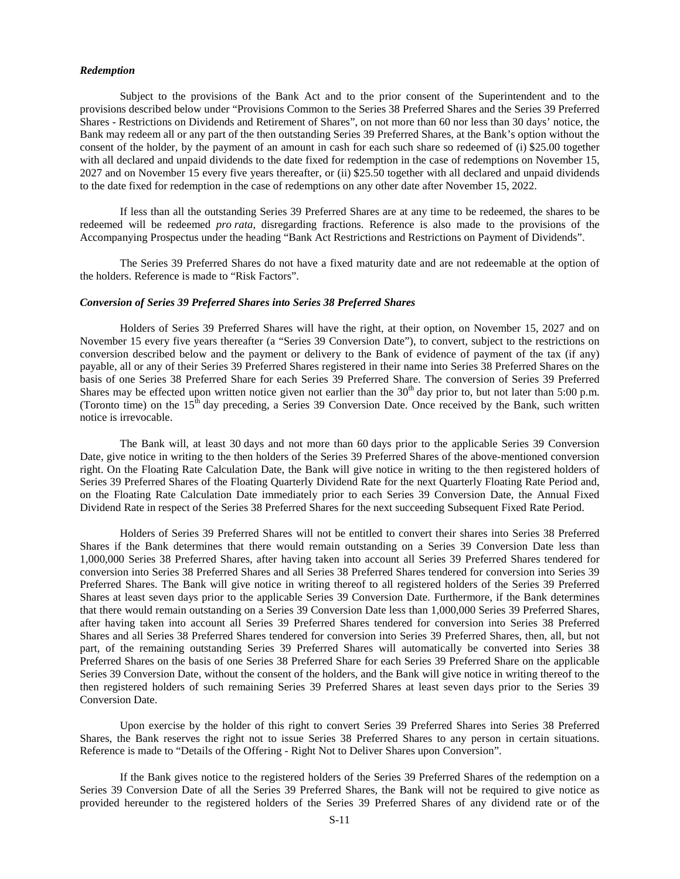#### *Redemption*

Subject to the provisions of the Bank Act and to the prior consent of the Superintendent and to the provisions described below under "Provisions Common to the Series 38 Preferred Shares and the Series 39 Preferred Shares - Restrictions on Dividends and Retirement of Shares", on not more than 60 nor less than 30 days' notice, the Bank may redeem all or any part of the then outstanding Series 39 Preferred Shares, at the Bank's option without the consent of the holder, by the payment of an amount in cash for each such share so redeemed of (i) \$25.00 together with all declared and unpaid dividends to the date fixed for redemption in the case of redemptions on November 15, 2027 and on November 15 every five years thereafter, or (ii) \$25.50 together with all declared and unpaid dividends to the date fixed for redemption in the case of redemptions on any other date after November 15, 2022.

If less than all the outstanding Series 39 Preferred Shares are at any time to be redeemed, the shares to be redeemed will be redeemed *pro rata*, disregarding fractions. Reference is also made to the provisions of the Accompanying Prospectus under the heading "Bank Act Restrictions and Restrictions on Payment of Dividends".

The Series 39 Preferred Shares do not have a fixed maturity date and are not redeemable at the option of the holders. Reference is made to "Risk Factors".

#### *Conversion of Series 39 Preferred Shares into Series 38 Preferred Shares*

Holders of Series 39 Preferred Shares will have the right, at their option, on November 15, 2027 and on November 15 every five years thereafter (a "Series 39 Conversion Date"), to convert, subject to the restrictions on conversion described below and the payment or delivery to the Bank of evidence of payment of the tax (if any) payable, all or any of their Series 39 Preferred Shares registered in their name into Series 38 Preferred Shares on the basis of one Series 38 Preferred Share for each Series 39 Preferred Share. The conversion of Series 39 Preferred Shares may be effected upon written notice given not earlier than the  $30<sup>th</sup>$  day prior to, but not later than 5:00 p.m. (Toronto time) on the  $15<sup>th</sup>$  day preceding, a Series 39 Conversion Date. Once received by the Bank, such written notice is irrevocable.

The Bank will, at least 30 days and not more than 60 days prior to the applicable Series 39 Conversion Date, give notice in writing to the then holders of the Series 39 Preferred Shares of the above-mentioned conversion right. On the Floating Rate Calculation Date, the Bank will give notice in writing to the then registered holders of Series 39 Preferred Shares of the Floating Quarterly Dividend Rate for the next Quarterly Floating Rate Period and, on the Floating Rate Calculation Date immediately prior to each Series 39 Conversion Date, the Annual Fixed Dividend Rate in respect of the Series 38 Preferred Shares for the next succeeding Subsequent Fixed Rate Period.

Holders of Series 39 Preferred Shares will not be entitled to convert their shares into Series 38 Preferred Shares if the Bank determines that there would remain outstanding on a Series 39 Conversion Date less than 1,000,000 Series 38 Preferred Shares, after having taken into account all Series 39 Preferred Shares tendered for conversion into Series 38 Preferred Shares and all Series 38 Preferred Shares tendered for conversion into Series 39 Preferred Shares. The Bank will give notice in writing thereof to all registered holders of the Series 39 Preferred Shares at least seven days prior to the applicable Series 39 Conversion Date. Furthermore, if the Bank determines that there would remain outstanding on a Series 39 Conversion Date less than 1,000,000 Series 39 Preferred Shares, after having taken into account all Series 39 Preferred Shares tendered for conversion into Series 38 Preferred Shares and all Series 38 Preferred Shares tendered for conversion into Series 39 Preferred Shares, then, all, but not part, of the remaining outstanding Series 39 Preferred Shares will automatically be converted into Series 38 Preferred Shares on the basis of one Series 38 Preferred Share for each Series 39 Preferred Share on the applicable Series 39 Conversion Date, without the consent of the holders, and the Bank will give notice in writing thereof to the then registered holders of such remaining Series 39 Preferred Shares at least seven days prior to the Series 39 Conversion Date.

Upon exercise by the holder of this right to convert Series 39 Preferred Shares into Series 38 Preferred Shares, the Bank reserves the right not to issue Series 38 Preferred Shares to any person in certain situations. Reference is made to "Details of the Offering - Right Not to Deliver Shares upon Conversion".

If the Bank gives notice to the registered holders of the Series 39 Preferred Shares of the redemption on a Series 39 Conversion Date of all the Series 39 Preferred Shares, the Bank will not be required to give notice as provided hereunder to the registered holders of the Series 39 Preferred Shares of any dividend rate or of the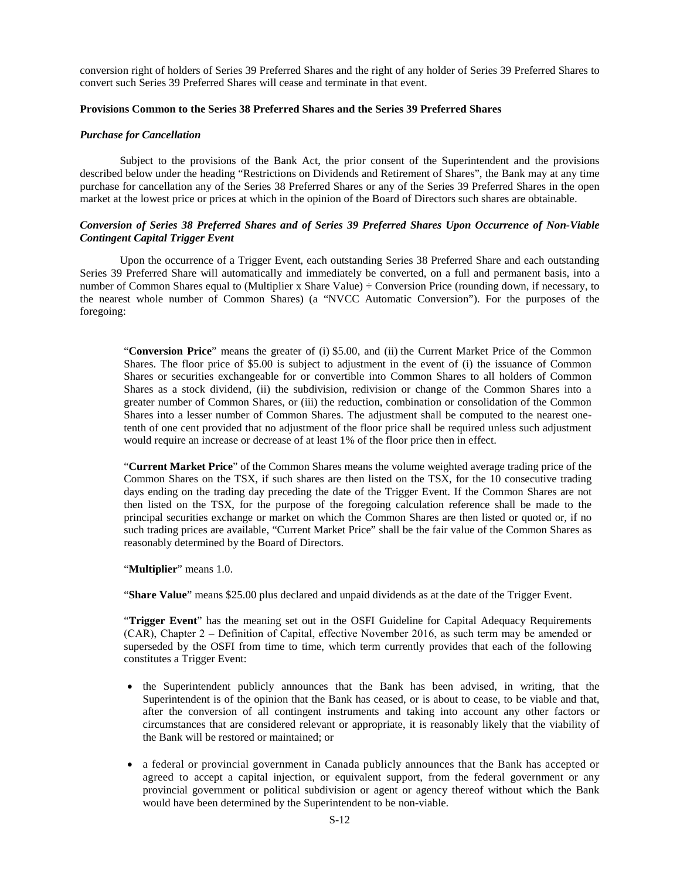conversion right of holders of Series 39 Preferred Shares and the right of any holder of Series 39 Preferred Shares to convert such Series 39 Preferred Shares will cease and terminate in that event.

## **Provisions Common to the Series 38 Preferred Shares and the Series 39 Preferred Shares**

#### *Purchase for Cancellation*

Subject to the provisions of the Bank Act, the prior consent of the Superintendent and the provisions described below under the heading "Restrictions on Dividends and Retirement of Shares", the Bank may at any time purchase for cancellation any of the Series 38 Preferred Shares or any of the Series 39 Preferred Shares in the open market at the lowest price or prices at which in the opinion of the Board of Directors such shares are obtainable.

## *Conversion of Series 38 Preferred Shares and of Series 39 Preferred Shares Upon Occurrence of Non-Viable Contingent Capital Trigger Event*

Upon the occurrence of a Trigger Event, each outstanding Series 38 Preferred Share and each outstanding Series 39 Preferred Share will automatically and immediately be converted, on a full and permanent basis, into a number of Common Shares equal to (Multiplier x Share Value) ÷ Conversion Price (rounding down, if necessary, to the nearest whole number of Common Shares) (a "NVCC Automatic Conversion"). For the purposes of the foregoing:

"**Conversion Price**" means the greater of (i) \$5.00, and (ii) the Current Market Price of the Common Shares. The floor price of \$5.00 is subject to adjustment in the event of (i) the issuance of Common Shares or securities exchangeable for or convertible into Common Shares to all holders of Common Shares as a stock dividend, (ii) the subdivision, redivision or change of the Common Shares into a greater number of Common Shares, or (iii) the reduction, combination or consolidation of the Common Shares into a lesser number of Common Shares. The adjustment shall be computed to the nearest onetenth of one cent provided that no adjustment of the floor price shall be required unless such adjustment would require an increase or decrease of at least 1% of the floor price then in effect.

"**Current Market Price**" of the Common Shares means the volume weighted average trading price of the Common Shares on the TSX, if such shares are then listed on the TSX, for the 10 consecutive trading days ending on the trading day preceding the date of the Trigger Event. If the Common Shares are not then listed on the TSX, for the purpose of the foregoing calculation reference shall be made to the principal securities exchange or market on which the Common Shares are then listed or quoted or, if no such trading prices are available, "Current Market Price" shall be the fair value of the Common Shares as reasonably determined by the Board of Directors.

"**Multiplier**" means 1.0.

"**Share Value**" means \$25.00 plus declared and unpaid dividends as at the date of the Trigger Event.

"**Trigger Event**" has the meaning set out in the OSFI Guideline for Capital Adequacy Requirements (CAR), Chapter 2 ‒ Definition of Capital, effective November 2016, as such term may be amended or superseded by the OSFI from time to time, which term currently provides that each of the following constitutes a Trigger Event:

- the Superintendent publicly announces that the Bank has been advised, in writing, that the Superintendent is of the opinion that the Bank has ceased, or is about to cease, to be viable and that, after the conversion of all contingent instruments and taking into account any other factors or circumstances that are considered relevant or appropriate, it is reasonably likely that the viability of the Bank will be restored or maintained; or
- a federal or provincial government in Canada publicly announces that the Bank has accepted or agreed to accept a capital injection, or equivalent support, from the federal government or any provincial government or political subdivision or agent or agency thereof without which the Bank would have been determined by the Superintendent to be non-viable.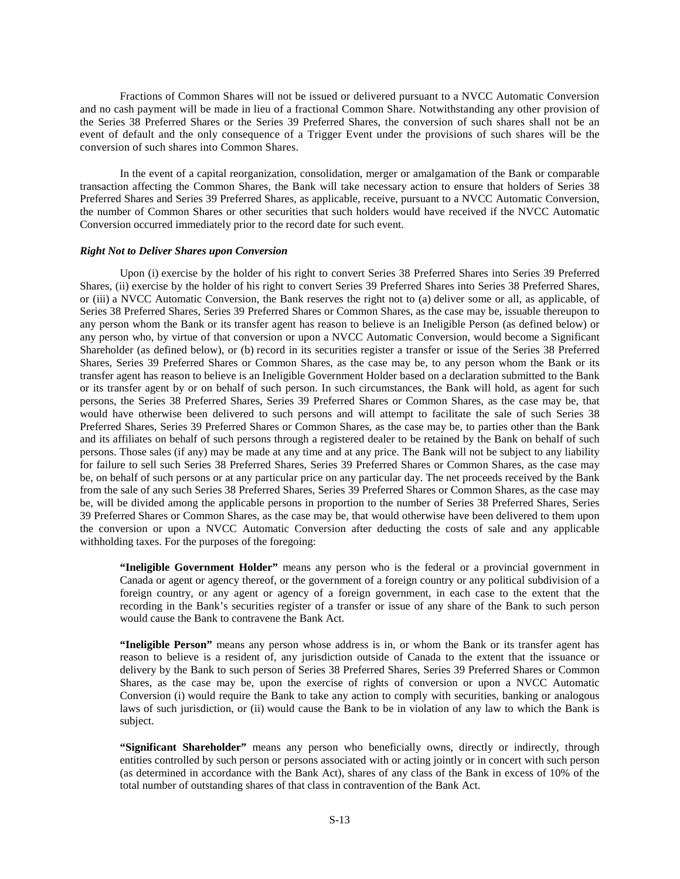Fractions of Common Shares will not be issued or delivered pursuant to a NVCC Automatic Conversion and no cash payment will be made in lieu of a fractional Common Share. Notwithstanding any other provision of the Series 38 Preferred Shares or the Series 39 Preferred Shares, the conversion of such shares shall not be an event of default and the only consequence of a Trigger Event under the provisions of such shares will be the conversion of such shares into Common Shares.

In the event of a capital reorganization, consolidation, merger or amalgamation of the Bank or comparable transaction affecting the Common Shares, the Bank will take necessary action to ensure that holders of Series 38 Preferred Shares and Series 39 Preferred Shares, as applicable, receive, pursuant to a NVCC Automatic Conversion, the number of Common Shares or other securities that such holders would have received if the NVCC Automatic Conversion occurred immediately prior to the record date for such event.

#### *Right Not to Deliver Shares upon Conversion*

Upon (i) exercise by the holder of his right to convert Series 38 Preferred Shares into Series 39 Preferred Shares, (ii) exercise by the holder of his right to convert Series 39 Preferred Shares into Series 38 Preferred Shares, or (iii) a NVCC Automatic Conversion, the Bank reserves the right not to (a) deliver some or all, as applicable, of Series 38 Preferred Shares, Series 39 Preferred Shares or Common Shares, as the case may be, issuable thereupon to any person whom the Bank or its transfer agent has reason to believe is an Ineligible Person (as defined below) or any person who, by virtue of that conversion or upon a NVCC Automatic Conversion, would become a Significant Shareholder (as defined below), or (b) record in its securities register a transfer or issue of the Series 38 Preferred Shares, Series 39 Preferred Shares or Common Shares, as the case may be, to any person whom the Bank or its transfer agent has reason to believe is an Ineligible Government Holder based on a declaration submitted to the Bank or its transfer agent by or on behalf of such person. In such circumstances, the Bank will hold, as agent for such persons, the Series 38 Preferred Shares, Series 39 Preferred Shares or Common Shares, as the case may be, that would have otherwise been delivered to such persons and will attempt to facilitate the sale of such Series 38 Preferred Shares, Series 39 Preferred Shares or Common Shares, as the case may be, to parties other than the Bank and its affiliates on behalf of such persons through a registered dealer to be retained by the Bank on behalf of such persons. Those sales (if any) may be made at any time and at any price. The Bank will not be subject to any liability for failure to sell such Series 38 Preferred Shares, Series 39 Preferred Shares or Common Shares, as the case may be, on behalf of such persons or at any particular price on any particular day. The net proceeds received by the Bank from the sale of any such Series 38 Preferred Shares, Series 39 Preferred Shares or Common Shares, as the case may be, will be divided among the applicable persons in proportion to the number of Series 38 Preferred Shares, Series 39 Preferred Shares or Common Shares, as the case may be, that would otherwise have been delivered to them upon the conversion or upon a NVCC Automatic Conversion after deducting the costs of sale and any applicable withholding taxes. For the purposes of the foregoing:

**"Ineligible Government Holder"** means any person who is the federal or a provincial government in Canada or agent or agency thereof, or the government of a foreign country or any political subdivision of a foreign country, or any agent or agency of a foreign government, in each case to the extent that the recording in the Bank's securities register of a transfer or issue of any share of the Bank to such person would cause the Bank to contravene the Bank Act.

**"Ineligible Person"** means any person whose address is in, or whom the Bank or its transfer agent has reason to believe is a resident of, any jurisdiction outside of Canada to the extent that the issuance or delivery by the Bank to such person of Series 38 Preferred Shares, Series 39 Preferred Shares or Common Shares, as the case may be, upon the exercise of rights of conversion or upon a NVCC Automatic Conversion (i) would require the Bank to take any action to comply with securities, banking or analogous laws of such jurisdiction, or (ii) would cause the Bank to be in violation of any law to which the Bank is subject.

**"Significant Shareholder"** means any person who beneficially owns, directly or indirectly, through entities controlled by such person or persons associated with or acting jointly or in concert with such person (as determined in accordance with the Bank Act), shares of any class of the Bank in excess of 10% of the total number of outstanding shares of that class in contravention of the Bank Act.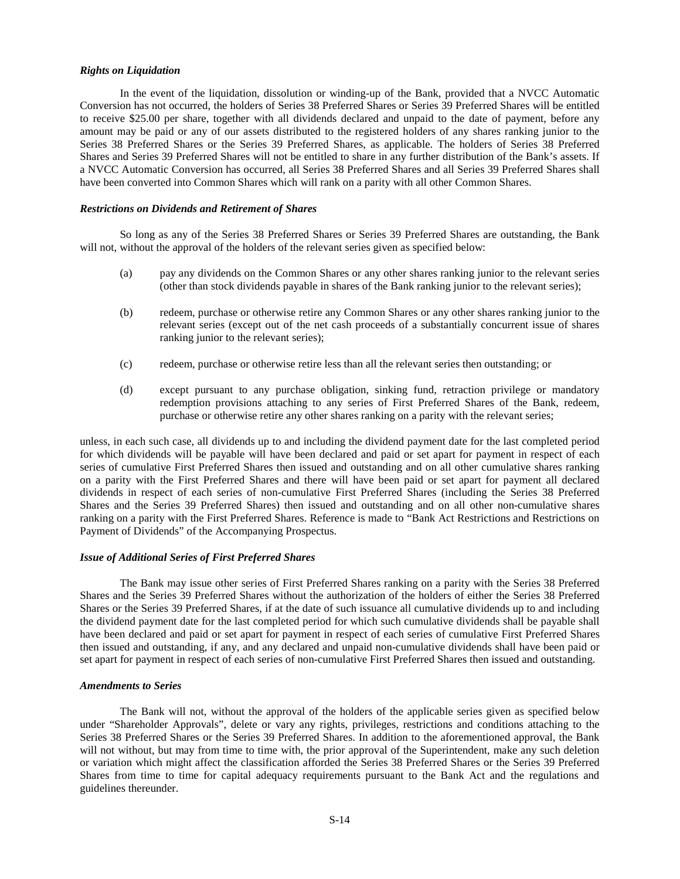### *Rights on Liquidation*

In the event of the liquidation, dissolution or winding-up of the Bank, provided that a NVCC Automatic Conversion has not occurred, the holders of Series 38 Preferred Shares or Series 39 Preferred Shares will be entitled to receive \$25.00 per share, together with all dividends declared and unpaid to the date of payment, before any amount may be paid or any of our assets distributed to the registered holders of any shares ranking junior to the Series 38 Preferred Shares or the Series 39 Preferred Shares, as applicable. The holders of Series 38 Preferred Shares and Series 39 Preferred Shares will not be entitled to share in any further distribution of the Bank's assets. If a NVCC Automatic Conversion has occurred, all Series 38 Preferred Shares and all Series 39 Preferred Shares shall have been converted into Common Shares which will rank on a parity with all other Common Shares.

## *Restrictions on Dividends and Retirement of Shares*

So long as any of the Series 38 Preferred Shares or Series 39 Preferred Shares are outstanding, the Bank will not, without the approval of the holders of the relevant series given as specified below:

- (a) pay any dividends on the Common Shares or any other shares ranking junior to the relevant series (other than stock dividends payable in shares of the Bank ranking junior to the relevant series);
- (b) redeem, purchase or otherwise retire any Common Shares or any other shares ranking junior to the relevant series (except out of the net cash proceeds of a substantially concurrent issue of shares ranking junior to the relevant series);
- (c) redeem, purchase or otherwise retire less than all the relevant series then outstanding; or
- (d) except pursuant to any purchase obligation, sinking fund, retraction privilege or mandatory redemption provisions attaching to any series of First Preferred Shares of the Bank, redeem, purchase or otherwise retire any other shares ranking on a parity with the relevant series;

unless, in each such case, all dividends up to and including the dividend payment date for the last completed period for which dividends will be payable will have been declared and paid or set apart for payment in respect of each series of cumulative First Preferred Shares then issued and outstanding and on all other cumulative shares ranking on a parity with the First Preferred Shares and there will have been paid or set apart for payment all declared dividends in respect of each series of non-cumulative First Preferred Shares (including the Series 38 Preferred Shares and the Series 39 Preferred Shares) then issued and outstanding and on all other non-cumulative shares ranking on a parity with the First Preferred Shares. Reference is made to "Bank Act Restrictions and Restrictions on Payment of Dividends" of the Accompanying Prospectus.

## *Issue of Additional Series of First Preferred Shares*

The Bank may issue other series of First Preferred Shares ranking on a parity with the Series 38 Preferred Shares and the Series 39 Preferred Shares without the authorization of the holders of either the Series 38 Preferred Shares or the Series 39 Preferred Shares, if at the date of such issuance all cumulative dividends up to and including the dividend payment date for the last completed period for which such cumulative dividends shall be payable shall have been declared and paid or set apart for payment in respect of each series of cumulative First Preferred Shares then issued and outstanding, if any, and any declared and unpaid non-cumulative dividends shall have been paid or set apart for payment in respect of each series of non-cumulative First Preferred Shares then issued and outstanding.

#### *Amendments to Series*

The Bank will not, without the approval of the holders of the applicable series given as specified below under "Shareholder Approvals", delete or vary any rights, privileges, restrictions and conditions attaching to the Series 38 Preferred Shares or the Series 39 Preferred Shares. In addition to the aforementioned approval, the Bank will not without, but may from time to time with, the prior approval of the Superintendent, make any such deletion or variation which might affect the classification afforded the Series 38 Preferred Shares or the Series 39 Preferred Shares from time to time for capital adequacy requirements pursuant to the Bank Act and the regulations and guidelines thereunder.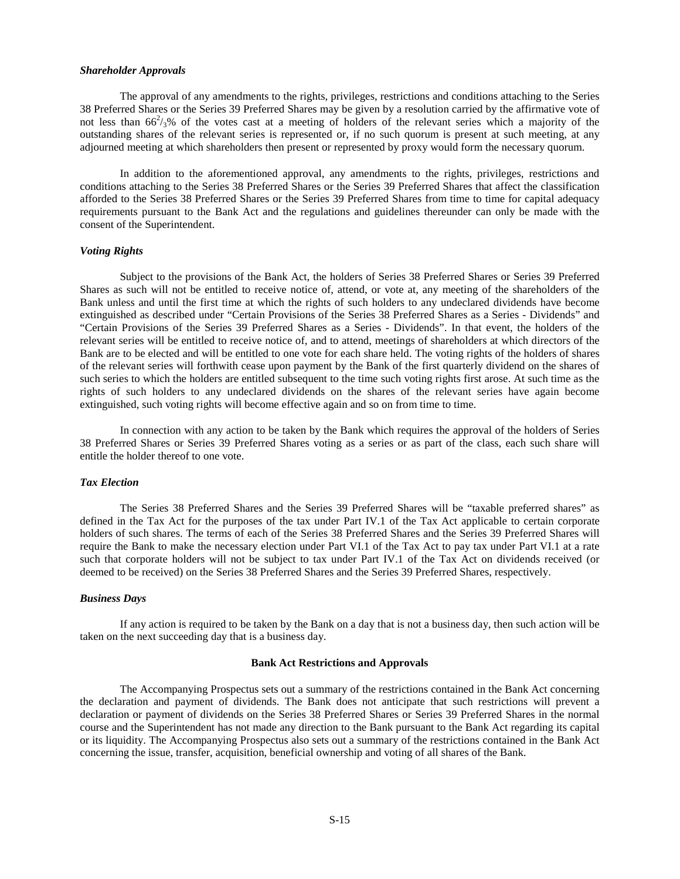#### *Shareholder Approvals*

The approval of any amendments to the rights, privileges, restrictions and conditions attaching to the Series 38 Preferred Shares or the Series 39 Preferred Shares may be given by a resolution carried by the affirmative vote of not less than  $66^2/3$ % of the votes cast at a meeting of holders of the relevant series which a majority of the outstanding shares of the relevant series is represented or, if no such quorum is present at such meeting, at any adjourned meeting at which shareholders then present or represented by proxy would form the necessary quorum.

In addition to the aforementioned approval, any amendments to the rights, privileges, restrictions and conditions attaching to the Series 38 Preferred Shares or the Series 39 Preferred Shares that affect the classification afforded to the Series 38 Preferred Shares or the Series 39 Preferred Shares from time to time for capital adequacy requirements pursuant to the Bank Act and the regulations and guidelines thereunder can only be made with the consent of the Superintendent.

## *Voting Rights*

Subject to the provisions of the Bank Act, the holders of Series 38 Preferred Shares or Series 39 Preferred Shares as such will not be entitled to receive notice of, attend, or vote at, any meeting of the shareholders of the Bank unless and until the first time at which the rights of such holders to any undeclared dividends have become extinguished as described under "Certain Provisions of the Series 38 Preferred Shares as a Series - Dividends" and "Certain Provisions of the Series 39 Preferred Shares as a Series - Dividends". In that event, the holders of the relevant series will be entitled to receive notice of, and to attend, meetings of shareholders at which directors of the Bank are to be elected and will be entitled to one vote for each share held. The voting rights of the holders of shares of the relevant series will forthwith cease upon payment by the Bank of the first quarterly dividend on the shares of such series to which the holders are entitled subsequent to the time such voting rights first arose. At such time as the rights of such holders to any undeclared dividends on the shares of the relevant series have again become extinguished, such voting rights will become effective again and so on from time to time.

In connection with any action to be taken by the Bank which requires the approval of the holders of Series 38 Preferred Shares or Series 39 Preferred Shares voting as a series or as part of the class, each such share will entitle the holder thereof to one vote.

## *Tax Election*

The Series 38 Preferred Shares and the Series 39 Preferred Shares will be "taxable preferred shares" as defined in the Tax Act for the purposes of the tax under Part IV.1 of the Tax Act applicable to certain corporate holders of such shares. The terms of each of the Series 38 Preferred Shares and the Series 39 Preferred Shares will require the Bank to make the necessary election under Part VI.1 of the Tax Act to pay tax under Part VI.1 at a rate such that corporate holders will not be subject to tax under Part IV.1 of the Tax Act on dividends received (or deemed to be received) on the Series 38 Preferred Shares and the Series 39 Preferred Shares, respectively.

## *Business Days*

If any action is required to be taken by the Bank on a day that is not a business day, then such action will be taken on the next succeeding day that is a business day.

#### <span id="page-14-0"></span>**Bank Act Restrictions and Approvals**

The Accompanying Prospectus sets out a summary of the restrictions contained in the Bank Act concerning the declaration and payment of dividends. The Bank does not anticipate that such restrictions will prevent a declaration or payment of dividends on the Series 38 Preferred Shares or Series 39 Preferred Shares in the normal course and the Superintendent has not made any direction to the Bank pursuant to the Bank Act regarding its capital or its liquidity. The Accompanying Prospectus also sets out a summary of the restrictions contained in the Bank Act concerning the issue, transfer, acquisition, beneficial ownership and voting of all shares of the Bank.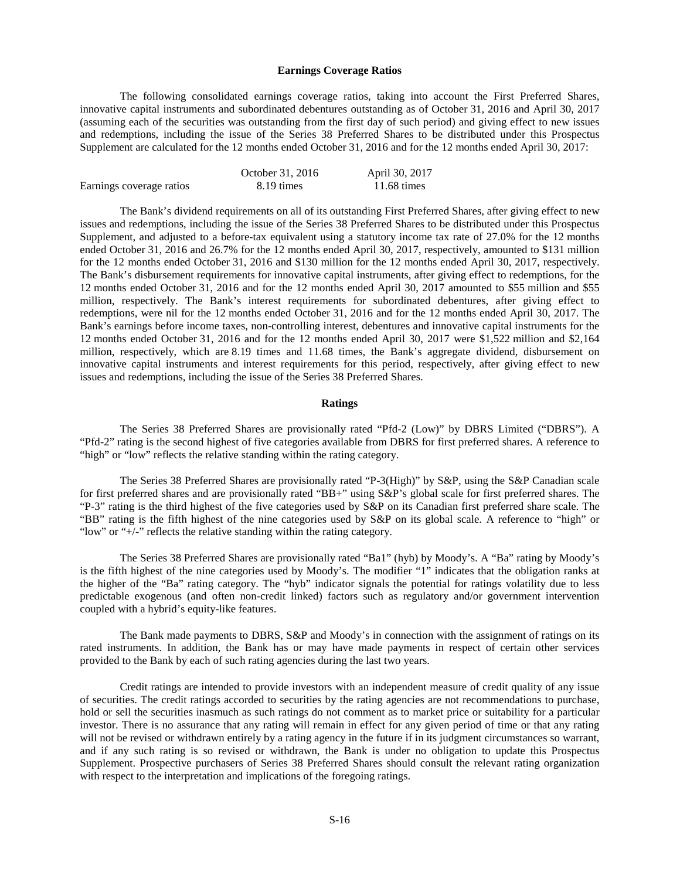#### <span id="page-15-0"></span>**Earnings Coverage Ratios**

The following consolidated earnings coverage ratios, taking into account the First Preferred Shares, innovative capital instruments and subordinated debentures outstanding as of October 31, 2016 and April 30, 2017 (assuming each of the securities was outstanding from the first day of such period) and giving effect to new issues and redemptions, including the issue of the Series 38 Preferred Shares to be distributed under this Prospectus Supplement are calculated for the 12 months ended October 31, 2016 and for the 12 months ended April 30, 2017:

|                          | October 31, 2016 | April 30, 2017        |
|--------------------------|------------------|-----------------------|
| Earnings coverage ratios | 8.19 times       | $11.68 \text{ times}$ |

The Bank's dividend requirements on all of its outstanding First Preferred Shares, after giving effect to new issues and redemptions, including the issue of the Series 38 Preferred Shares to be distributed under this Prospectus Supplement, and adjusted to a before-tax equivalent using a statutory income tax rate of 27.0% for the 12 months ended October 31, 2016 and 26.7% for the 12 months ended April 30, 2017, respectively, amounted to \$131 million for the 12 months ended October 31, 2016 and \$130 million for the 12 months ended April 30, 2017, respectively. The Bank's disbursement requirements for innovative capital instruments, after giving effect to redemptions, for the 12 months ended October 31, 2016 and for the 12 months ended April 30, 2017 amounted to \$55 million and \$55 million, respectively. The Bank's interest requirements for subordinated debentures, after giving effect to redemptions, were nil for the 12 months ended October 31, 2016 and for the 12 months ended April 30, 2017. The Bank's earnings before income taxes, non-controlling interest, debentures and innovative capital instruments for the 12 months ended October 31, 2016 and for the 12 months ended April 30, 2017 were \$1,522 million and \$2,164 million, respectively, which are 8.19 times and 11.68 times, the Bank's aggregate dividend, disbursement on innovative capital instruments and interest requirements for this period, respectively, after giving effect to new issues and redemptions, including the issue of the Series 38 Preferred Shares.

#### <span id="page-15-1"></span>**Ratings**

The Series 38 Preferred Shares are provisionally rated "Pfd-2 (Low)" by DBRS Limited ("DBRS"). A "Pfd-2" rating is the second highest of five categories available from DBRS for first preferred shares. A reference to "high" or "low" reflects the relative standing within the rating category.

The Series 38 Preferred Shares are provisionally rated "P-3(High)" by S&P, using the S&P Canadian scale for first preferred shares and are provisionally rated "BB+" using S&P's global scale for first preferred shares. The "P-3" rating is the third highest of the five categories used by S&P on its Canadian first preferred share scale. The "BB" rating is the fifth highest of the nine categories used by S&P on its global scale. A reference to "high" or "low" or "+/-" reflects the relative standing within the rating category.

The Series 38 Preferred Shares are provisionally rated "Ba1" (hyb) by Moody's. A "Ba" rating by Moody's is the fifth highest of the nine categories used by Moody's. The modifier "1" indicates that the obligation ranks at the higher of the "Ba" rating category. The "hyb" indicator signals the potential for ratings volatility due to less predictable exogenous (and often non-credit linked) factors such as regulatory and/or government intervention coupled with a hybrid's equity-like features.

The Bank made payments to DBRS, S&P and Moody's in connection with the assignment of ratings on its rated instruments. In addition, the Bank has or may have made payments in respect of certain other services provided to the Bank by each of such rating agencies during the last two years.

Credit ratings are intended to provide investors with an independent measure of credit quality of any issue of securities. The credit ratings accorded to securities by the rating agencies are not recommendations to purchase, hold or sell the securities inasmuch as such ratings do not comment as to market price or suitability for a particular investor. There is no assurance that any rating will remain in effect for any given period of time or that any rating will not be revised or withdrawn entirely by a rating agency in the future if in its judgment circumstances so warrant, and if any such rating is so revised or withdrawn, the Bank is under no obligation to update this Prospectus Supplement. Prospective purchasers of Series 38 Preferred Shares should consult the relevant rating organization with respect to the interpretation and implications of the foregoing ratings.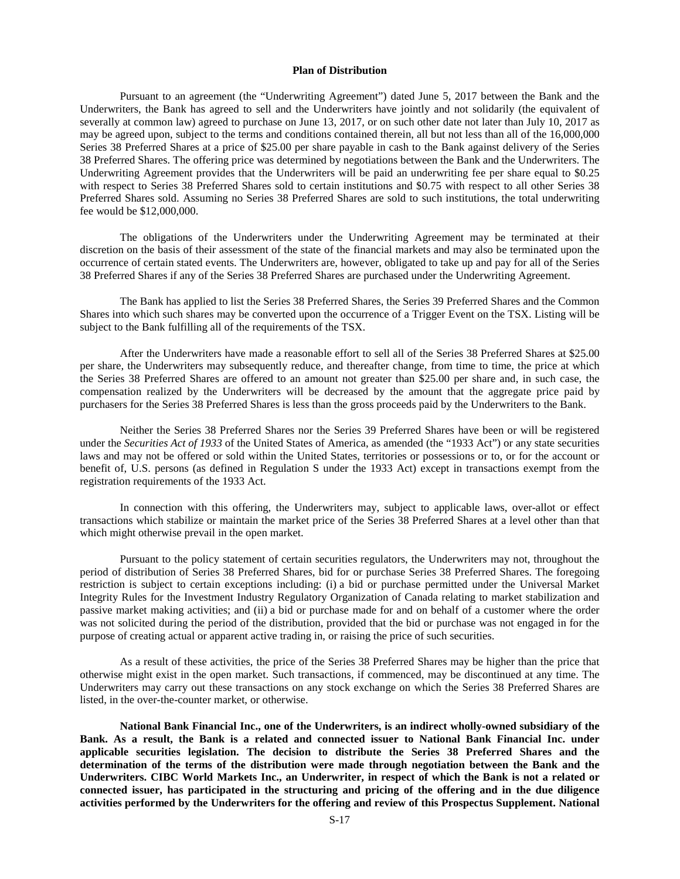#### <span id="page-16-0"></span>**Plan of Distribution**

Pursuant to an agreement (the "Underwriting Agreement") dated June 5, 2017 between the Bank and the Underwriters, the Bank has agreed to sell and the Underwriters have jointly and not solidarily (the equivalent of severally at common law) agreed to purchase on June 13, 2017, or on such other date not later than July 10, 2017 as may be agreed upon, subject to the terms and conditions contained therein, all but not less than all of the 16,000,000 Series 38 Preferred Shares at a price of \$25.00 per share payable in cash to the Bank against delivery of the Series 38 Preferred Shares. The offering price was determined by negotiations between the Bank and the Underwriters. The Underwriting Agreement provides that the Underwriters will be paid an underwriting fee per share equal to \$0.25 with respect to Series 38 Preferred Shares sold to certain institutions and \$0.75 with respect to all other Series 38 Preferred Shares sold. Assuming no Series 38 Preferred Shares are sold to such institutions, the total underwriting fee would be \$12,000,000.

The obligations of the Underwriters under the Underwriting Agreement may be terminated at their discretion on the basis of their assessment of the state of the financial markets and may also be terminated upon the occurrence of certain stated events. The Underwriters are, however, obligated to take up and pay for all of the Series 38 Preferred Shares if any of the Series 38 Preferred Shares are purchased under the Underwriting Agreement.

The Bank has applied to list the Series 38 Preferred Shares, the Series 39 Preferred Shares and the Common Shares into which such shares may be converted upon the occurrence of a Trigger Event on the TSX. Listing will be subject to the Bank fulfilling all of the requirements of the TSX.

After the Underwriters have made a reasonable effort to sell all of the Series 38 Preferred Shares at \$25.00 per share, the Underwriters may subsequently reduce, and thereafter change, from time to time, the price at which the Series 38 Preferred Shares are offered to an amount not greater than \$25.00 per share and, in such case, the compensation realized by the Underwriters will be decreased by the amount that the aggregate price paid by purchasers for the Series 38 Preferred Shares is less than the gross proceeds paid by the Underwriters to the Bank.

Neither the Series 38 Preferred Shares nor the Series 39 Preferred Shares have been or will be registered under the *Securities Act of 1933* of the United States of America, as amended (the "1933 Act") or any state securities laws and may not be offered or sold within the United States, territories or possessions or to, or for the account or benefit of, U.S. persons (as defined in Regulation S under the 1933 Act) except in transactions exempt from the registration requirements of the 1933 Act.

In connection with this offering, the Underwriters may, subject to applicable laws, over-allot or effect transactions which stabilize or maintain the market price of the Series 38 Preferred Shares at a level other than that which might otherwise prevail in the open market.

Pursuant to the policy statement of certain securities regulators, the Underwriters may not, throughout the period of distribution of Series 38 Preferred Shares, bid for or purchase Series 38 Preferred Shares. The foregoing restriction is subject to certain exceptions including: (i) a bid or purchase permitted under the Universal Market Integrity Rules for the Investment Industry Regulatory Organization of Canada relating to market stabilization and passive market making activities; and (ii) a bid or purchase made for and on behalf of a customer where the order was not solicited during the period of the distribution, provided that the bid or purchase was not engaged in for the purpose of creating actual or apparent active trading in, or raising the price of such securities.

As a result of these activities, the price of the Series 38 Preferred Shares may be higher than the price that otherwise might exist in the open market. Such transactions, if commenced, may be discontinued at any time. The Underwriters may carry out these transactions on any stock exchange on which the Series 38 Preferred Shares are listed, in the over-the-counter market, or otherwise.

**National Bank Financial Inc., one of the Underwriters, is an indirect wholly-owned subsidiary of the Bank. As a result, the Bank is a related and connected issuer to National Bank Financial Inc. under applicable securities legislation. The decision to distribute the Series 38 Preferred Shares and the determination of the terms of the distribution were made through negotiation between the Bank and the Underwriters. CIBC World Markets Inc., an Underwriter, in respect of which the Bank is not a related or connected issuer, has participated in the structuring and pricing of the offering and in the due diligence activities performed by the Underwriters for the offering and review of this Prospectus Supplement. National**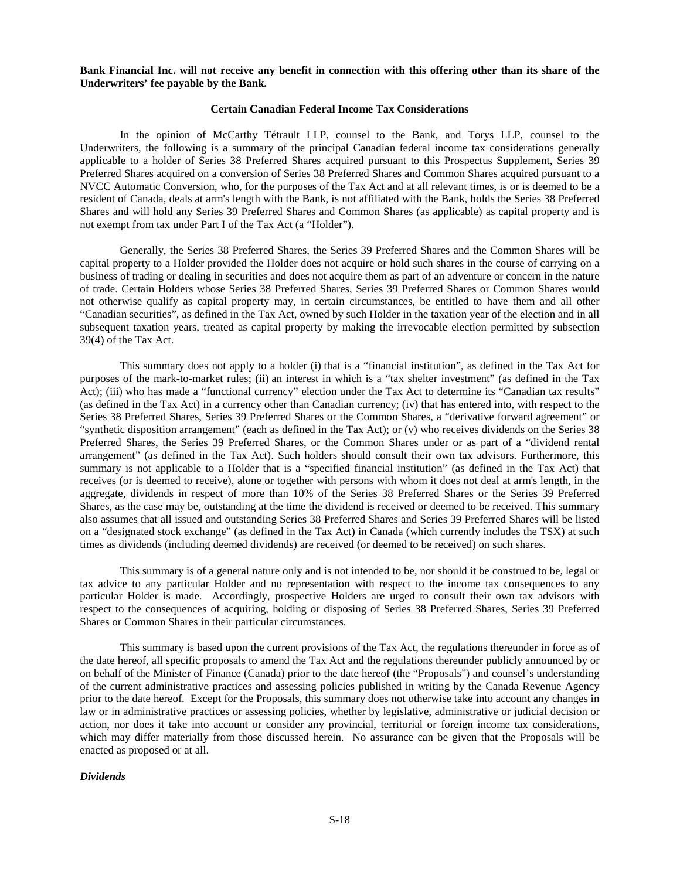#### **Bank Financial Inc. will not receive any benefit in connection with this offering other than its share of the Underwriters' fee payable by the Bank.**

## <span id="page-17-0"></span>**Certain Canadian Federal Income Tax Considerations**

In the opinion of McCarthy Tétrault LLP, counsel to the Bank, and Torys LLP, counsel to the Underwriters, the following is a summary of the principal Canadian federal income tax considerations generally applicable to a holder of Series 38 Preferred Shares acquired pursuant to this Prospectus Supplement, Series 39 Preferred Shares acquired on a conversion of Series 38 Preferred Shares and Common Shares acquired pursuant to a NVCC Automatic Conversion, who, for the purposes of the Tax Act and at all relevant times, is or is deemed to be a resident of Canada, deals at arm's length with the Bank, is not affiliated with the Bank, holds the Series 38 Preferred Shares and will hold any Series 39 Preferred Shares and Common Shares (as applicable) as capital property and is not exempt from tax under Part I of the Tax Act (a "Holder").

Generally, the Series 38 Preferred Shares, the Series 39 Preferred Shares and the Common Shares will be capital property to a Holder provided the Holder does not acquire or hold such shares in the course of carrying on a business of trading or dealing in securities and does not acquire them as part of an adventure or concern in the nature of trade. Certain Holders whose Series 38 Preferred Shares, Series 39 Preferred Shares or Common Shares would not otherwise qualify as capital property may, in certain circumstances, be entitled to have them and all other "Canadian securities", as defined in the Tax Act, owned by such Holder in the taxation year of the election and in all subsequent taxation years, treated as capital property by making the irrevocable election permitted by subsection 39(4) of the Tax Act.

This summary does not apply to a holder (i) that is a "financial institution", as defined in the Tax Act for purposes of the mark-to-market rules; (ii) an interest in which is a "tax shelter investment" (as defined in the Tax Act); (iii) who has made a "functional currency" election under the Tax Act to determine its "Canadian tax results" (as defined in the Tax Act) in a currency other than Canadian currency; (iv) that has entered into, with respect to the Series 38 Preferred Shares, Series 39 Preferred Shares or the Common Shares, a "derivative forward agreement" or "synthetic disposition arrangement" (each as defined in the Tax Act); or (v) who receives dividends on the Series 38 Preferred Shares, the Series 39 Preferred Shares, or the Common Shares under or as part of a "dividend rental arrangement" (as defined in the Tax Act). Such holders should consult their own tax advisors. Furthermore, this summary is not applicable to a Holder that is a "specified financial institution" (as defined in the Tax Act) that receives (or is deemed to receive), alone or together with persons with whom it does not deal at arm's length, in the aggregate, dividends in respect of more than 10% of the Series 38 Preferred Shares or the Series 39 Preferred Shares, as the case may be, outstanding at the time the dividend is received or deemed to be received. This summary also assumes that all issued and outstanding Series 38 Preferred Shares and Series 39 Preferred Shares will be listed on a "designated stock exchange" (as defined in the Tax Act) in Canada (which currently includes the TSX) at such times as dividends (including deemed dividends) are received (or deemed to be received) on such shares.

This summary is of a general nature only and is not intended to be, nor should it be construed to be, legal or tax advice to any particular Holder and no representation with respect to the income tax consequences to any particular Holder is made. Accordingly, prospective Holders are urged to consult their own tax advisors with respect to the consequences of acquiring, holding or disposing of Series 38 Preferred Shares, Series 39 Preferred Shares or Common Shares in their particular circumstances.

This summary is based upon the current provisions of the Tax Act, the regulations thereunder in force as of the date hereof, all specific proposals to amend the Tax Act and the regulations thereunder publicly announced by or on behalf of the Minister of Finance (Canada) prior to the date hereof (the "Proposals") and counsel's understanding of the current administrative practices and assessing policies published in writing by the Canada Revenue Agency prior to the date hereof. Except for the Proposals, this summary does not otherwise take into account any changes in law or in administrative practices or assessing policies, whether by legislative, administrative or judicial decision or action, nor does it take into account or consider any provincial, territorial or foreign income tax considerations, which may differ materially from those discussed herein. No assurance can be given that the Proposals will be enacted as proposed or at all.

#### *Dividends*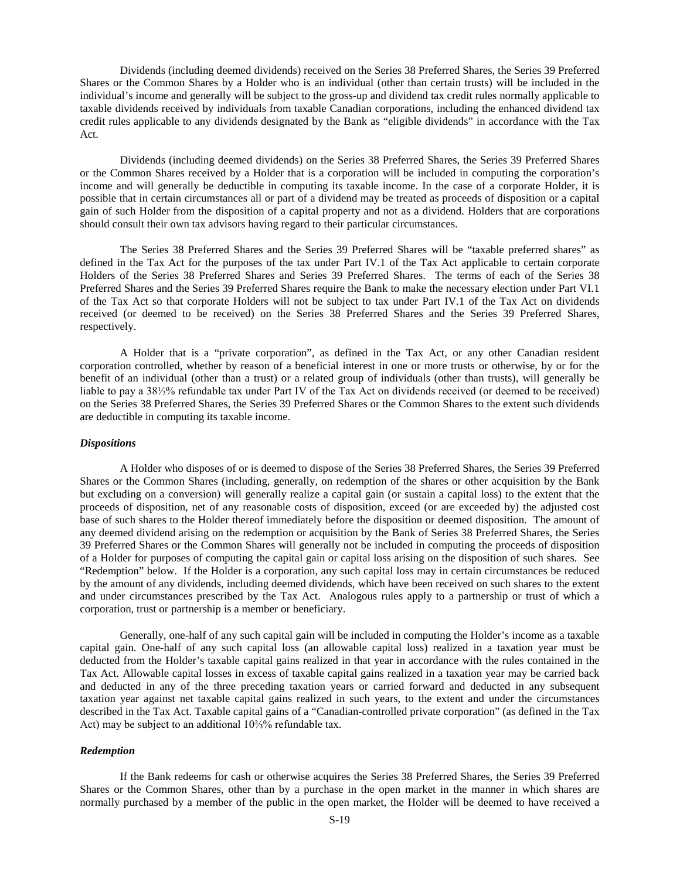Dividends (including deemed dividends) received on the Series 38 Preferred Shares, the Series 39 Preferred Shares or the Common Shares by a Holder who is an individual (other than certain trusts) will be included in the individual's income and generally will be subject to the gross-up and dividend tax credit rules normally applicable to taxable dividends received by individuals from taxable Canadian corporations, including the enhanced dividend tax credit rules applicable to any dividends designated by the Bank as "eligible dividends" in accordance with the Tax Act.

Dividends (including deemed dividends) on the Series 38 Preferred Shares, the Series 39 Preferred Shares or the Common Shares received by a Holder that is a corporation will be included in computing the corporation's income and will generally be deductible in computing its taxable income. In the case of a corporate Holder, it is possible that in certain circumstances all or part of a dividend may be treated as proceeds of disposition or a capital gain of such Holder from the disposition of a capital property and not as a dividend. Holders that are corporations should consult their own tax advisors having regard to their particular circumstances.

The Series 38 Preferred Shares and the Series 39 Preferred Shares will be "taxable preferred shares" as defined in the Tax Act for the purposes of the tax under Part IV.1 of the Tax Act applicable to certain corporate Holders of the Series 38 Preferred Shares and Series 39 Preferred Shares. The terms of each of the Series 38 Preferred Shares and the Series 39 Preferred Shares require the Bank to make the necessary election under Part VI.1 of the Tax Act so that corporate Holders will not be subject to tax under Part IV.1 of the Tax Act on dividends received (or deemed to be received) on the Series 38 Preferred Shares and the Series 39 Preferred Shares, respectively.

A Holder that is a "private corporation", as defined in the Tax Act, or any other Canadian resident corporation controlled, whether by reason of a beneficial interest in one or more trusts or otherwise, by or for the benefit of an individual (other than a trust) or a related group of individuals (other than trusts), will generally be liable to pay a 38⅓% refundable tax under Part IV of the Tax Act on dividends received (or deemed to be received) on the Series 38 Preferred Shares, the Series 39 Preferred Shares or the Common Shares to the extent such dividends are deductible in computing its taxable income.

#### *Dispositions*

A Holder who disposes of or is deemed to dispose of the Series 38 Preferred Shares, the Series 39 Preferred Shares or the Common Shares (including, generally, on redemption of the shares or other acquisition by the Bank but excluding on a conversion) will generally realize a capital gain (or sustain a capital loss) to the extent that the proceeds of disposition, net of any reasonable costs of disposition, exceed (or are exceeded by) the adjusted cost base of such shares to the Holder thereof immediately before the disposition or deemed disposition. The amount of any deemed dividend arising on the redemption or acquisition by the Bank of Series 38 Preferred Shares, the Series 39 Preferred Shares or the Common Shares will generally not be included in computing the proceeds of disposition of a Holder for purposes of computing the capital gain or capital loss arising on the disposition of such shares. See "Redemption" below. If the Holder is a corporation, any such capital loss may in certain circumstances be reduced by the amount of any dividends, including deemed dividends, which have been received on such shares to the extent and under circumstances prescribed by the Tax Act. Analogous rules apply to a partnership or trust of which a corporation, trust or partnership is a member or beneficiary.

Generally, one-half of any such capital gain will be included in computing the Holder's income as a taxable capital gain. One-half of any such capital loss (an allowable capital loss) realized in a taxation year must be deducted from the Holder's taxable capital gains realized in that year in accordance with the rules contained in the Tax Act. Allowable capital losses in excess of taxable capital gains realized in a taxation year may be carried back and deducted in any of the three preceding taxation years or carried forward and deducted in any subsequent taxation year against net taxable capital gains realized in such years, to the extent and under the circumstances described in the Tax Act. Taxable capital gains of a "Canadian-controlled private corporation" (as defined in the Tax Act) may be subject to an additional 10⅔% refundable tax.

## *Redemption*

If the Bank redeems for cash or otherwise acquires the Series 38 Preferred Shares, the Series 39 Preferred Shares or the Common Shares, other than by a purchase in the open market in the manner in which shares are normally purchased by a member of the public in the open market, the Holder will be deemed to have received a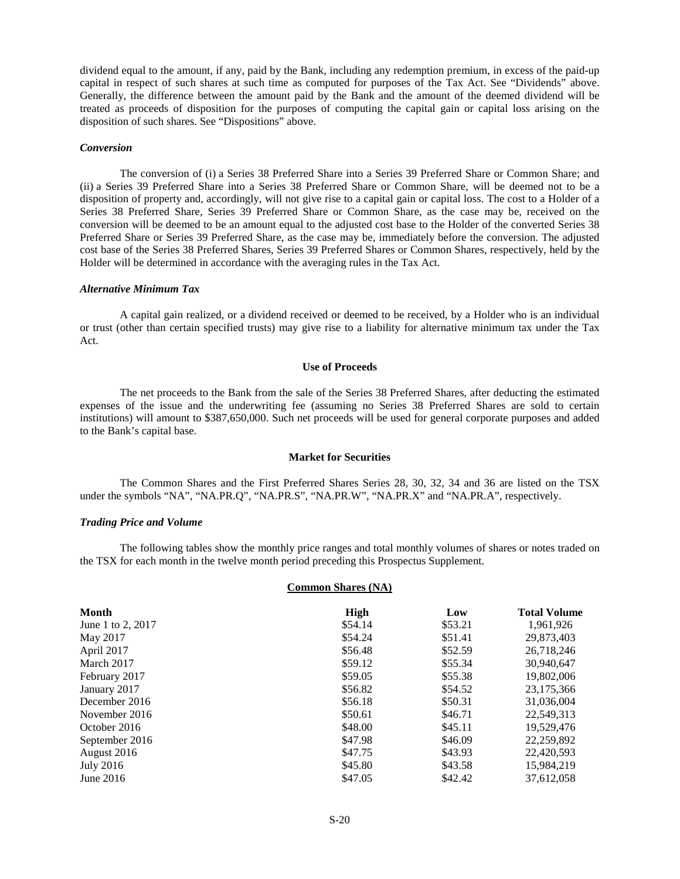dividend equal to the amount, if any, paid by the Bank, including any redemption premium, in excess of the paid-up capital in respect of such shares at such time as computed for purposes of the Tax Act. See "Dividends" above. Generally, the difference between the amount paid by the Bank and the amount of the deemed dividend will be treated as proceeds of disposition for the purposes of computing the capital gain or capital loss arising on the disposition of such shares. See "Dispositions" above.

## *Conversion*

The conversion of (i) a Series 38 Preferred Share into a Series 39 Preferred Share or Common Share; and (ii) a Series 39 Preferred Share into a Series 38 Preferred Share or Common Share, will be deemed not to be a disposition of property and, accordingly, will not give rise to a capital gain or capital loss. The cost to a Holder of a Series 38 Preferred Share, Series 39 Preferred Share or Common Share, as the case may be, received on the conversion will be deemed to be an amount equal to the adjusted cost base to the Holder of the converted Series 38 Preferred Share or Series 39 Preferred Share, as the case may be, immediately before the conversion. The adjusted cost base of the Series 38 Preferred Shares, Series 39 Preferred Shares or Common Shares, respectively, held by the Holder will be determined in accordance with the averaging rules in the Tax Act.

#### *Alternative Minimum Tax*

A capital gain realized, or a dividend received or deemed to be received, by a Holder who is an individual or trust (other than certain specified trusts) may give rise to a liability for alternative minimum tax under the Tax Act.

## <span id="page-19-0"></span>**Use of Proceeds**

The net proceeds to the Bank from the sale of the Series 38 Preferred Shares, after deducting the estimated expenses of the issue and the underwriting fee (assuming no Series 38 Preferred Shares are sold to certain institutions) will amount to \$387,650,000. Such net proceeds will be used for general corporate purposes and added to the Bank's capital base.

## <span id="page-19-1"></span>**Market for Securities**

The Common Shares and the First Preferred Shares Series 28, 30, 32, 34 and 36 are listed on the TSX under the symbols "NA", "NA.PR.Q", "NA.PR.S", "NA.PR.W", "NA.PR.X" and "NA.PR.A", respectively.

#### *Trading Price and Volume*

The following tables show the monthly price ranges and total monthly volumes of shares or notes traded on the TSX for each month in the twelve month period preceding this Prospectus Supplement.

## **Common Shares (NA)**

| <b>Month</b>      | <b>High</b> | Low     | <b>Total Volume</b> |
|-------------------|-------------|---------|---------------------|
| June 1 to 2, 2017 | \$54.14     | \$53.21 | 1,961,926           |
| May 2017          | \$54.24     | \$51.41 | 29,873,403          |
| April 2017        | \$56.48     | \$52.59 | 26,718,246          |
| March 2017        | \$59.12     | \$55.34 | 30,940,647          |
| February 2017     | \$59.05     | \$55.38 | 19,802,006          |
| January 2017      | \$56.82     | \$54.52 | 23,175,366          |
| December 2016     | \$56.18     | \$50.31 | 31,036,004          |
| November 2016     | \$50.61     | \$46.71 | 22,549,313          |
| October 2016      | \$48.00     | \$45.11 | 19.529.476          |
| September 2016    | \$47.98     | \$46.09 | 22,259,892          |
| August 2016       | \$47.75     | \$43.93 | 22,420,593          |
| July 2016         | \$45.80     | \$43.58 | 15,984,219          |
| June 2016         | \$47.05     | \$42.42 | 37.612.058          |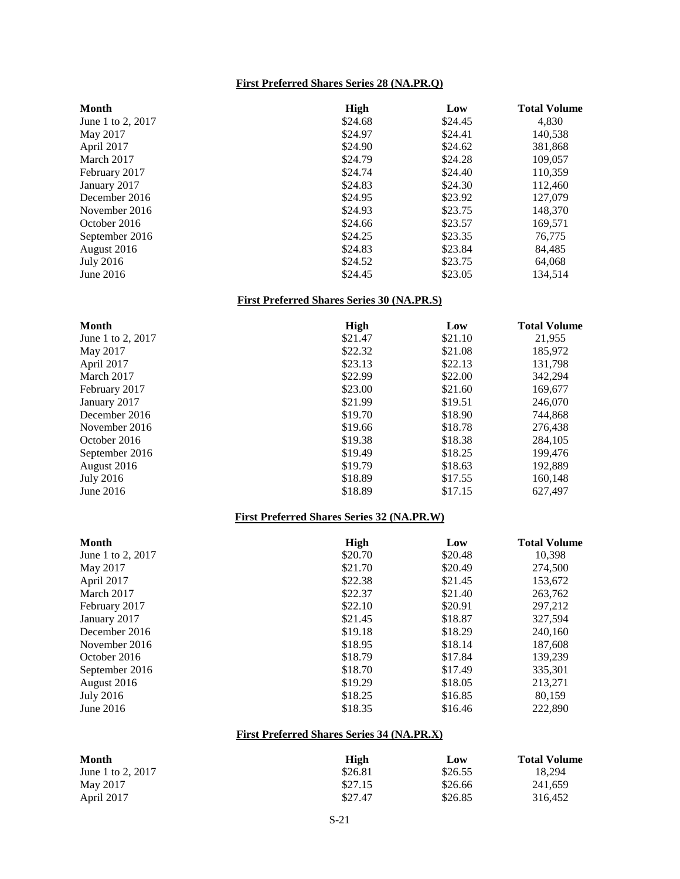## **First Preferred Shares Series 28 (NA.PR.Q)**

| <b>Month</b>      | <b>High</b> | Low     | <b>Total Volume</b> |
|-------------------|-------------|---------|---------------------|
| June 1 to 2, 2017 | \$24.68     | \$24.45 | 4,830               |
| May 2017          | \$24.97     | \$24.41 | 140,538             |
| April 2017        | \$24.90     | \$24.62 | 381,868             |
| March 2017        | \$24.79     | \$24.28 | 109,057             |
| February 2017     | \$24.74     | \$24.40 | 110,359             |
| January 2017      | \$24.83     | \$24.30 | 112,460             |
| December 2016     | \$24.95     | \$23.92 | 127,079             |
| November 2016     | \$24.93     | \$23.75 | 148,370             |
| October 2016      | \$24.66     | \$23.57 | 169,571             |
| September 2016    | \$24.25     | \$23.35 | 76,775              |
| August 2016       | \$24.83     | \$23.84 | 84,485              |
| July 2016         | \$24.52     | \$23.75 | 64,068              |
| June 2016         | \$24.45     | \$23.05 | 134.514             |

## **First Preferred Shares Series 30 (NA.PR.S)**

| <b>Month</b>      | <b>High</b> | Low     | <b>Total Volume</b> |
|-------------------|-------------|---------|---------------------|
| June 1 to 2, 2017 | \$21.47     | \$21.10 | 21,955              |
| May 2017          | \$22.32     | \$21.08 | 185,972             |
| April 2017        | \$23.13     | \$22.13 | 131,798             |
| March 2017        | \$22.99     | \$22.00 | 342,294             |
| February 2017     | \$23.00     | \$21.60 | 169,677             |
| January 2017      | \$21.99     | \$19.51 | 246,070             |
| December 2016     | \$19.70     | \$18.90 | 744,868             |
| November 2016     | \$19.66     | \$18.78 | 276,438             |
| October 2016      | \$19.38     | \$18.38 | 284,105             |
| September 2016    | \$19.49     | \$18.25 | 199,476             |
| August 2016       | \$19.79     | \$18.63 | 192,889             |
| July 2016         | \$18.89     | \$17.55 | 160,148             |
| June 2016         | \$18.89     | \$17.15 | 627.497             |

## **First Preferred Shares Series 32 (NA.PR.W)**

| <b>Month</b>      | High    | Low     | <b>Total Volume</b> |
|-------------------|---------|---------|---------------------|
| June 1 to 2, 2017 | \$20.70 | \$20.48 | 10,398              |
| May 2017          | \$21.70 | \$20.49 | 274,500             |
| April 2017        | \$22.38 | \$21.45 | 153,672             |
| March 2017        | \$22.37 | \$21.40 | 263,762             |
| February 2017     | \$22.10 | \$20.91 | 297,212             |
| January 2017      | \$21.45 | \$18.87 | 327,594             |
| December 2016     | \$19.18 | \$18.29 | 240,160             |
| November 2016     | \$18.95 | \$18.14 | 187,608             |
| October 2016      | \$18.79 | \$17.84 | 139,239             |
| September 2016    | \$18.70 | \$17.49 | 335,301             |
| August 2016       | \$19.29 | \$18.05 | 213,271             |
| July 2016         | \$18.25 | \$16.85 | 80,159              |
| June 2016         | \$18.35 | \$16.46 | 222,890             |

## **First Preferred Shares Series 34 (NA.PR.X)**

| Month             | High    | Low     | <b>Total Volume</b> |
|-------------------|---------|---------|---------------------|
| June 1 to 2, 2017 | \$26.81 | \$26.55 | 18.294              |
| May 2017          | \$27.15 | \$26.66 | 241.659             |
| April 2017        | \$27.47 | \$26.85 | 316.452             |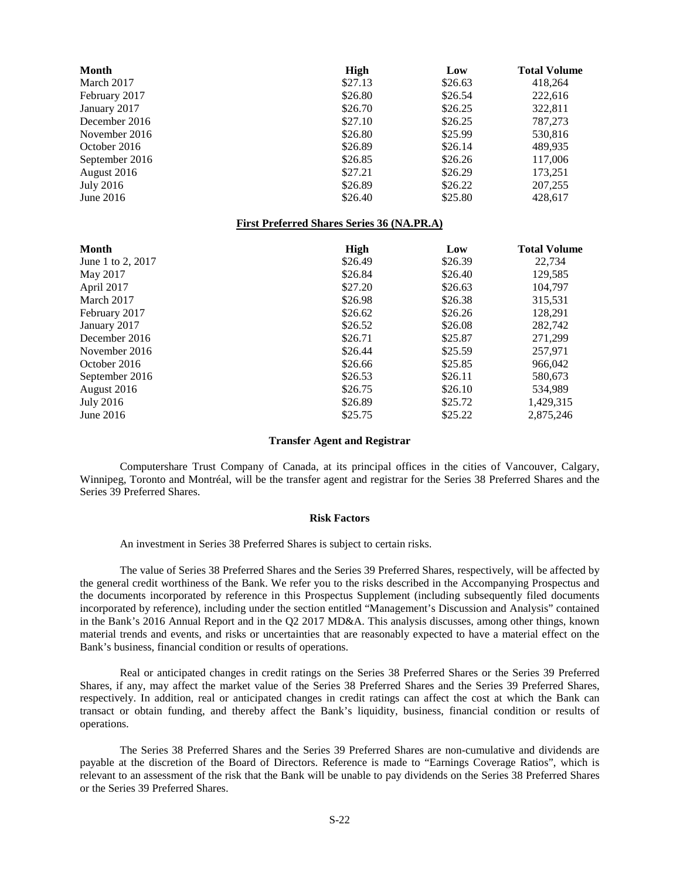| Month             | <b>High</b>                                       | Low     | <b>Total Volume</b> |
|-------------------|---------------------------------------------------|---------|---------------------|
| March 2017        | \$27.13                                           | \$26.63 | 418,264             |
| February 2017     | \$26.80                                           | \$26.54 | 222,616             |
| January 2017      | \$26.70                                           | \$26.25 | 322,811             |
| December 2016     | \$27.10                                           | \$26.25 | 787,273             |
| November 2016     | \$26.80                                           | \$25.99 | 530,816             |
| October 2016      | \$26.89                                           | \$26.14 | 489,935             |
| September 2016    | \$26.85                                           | \$26.26 | 117,006             |
| August 2016       | \$27.21                                           | \$26.29 | 173,251             |
| <b>July 2016</b>  | \$26.89                                           | \$26.22 | 207,255             |
| June 2016         | \$26.40                                           | \$25.80 | 428,617             |
|                   | <b>First Preferred Shares Series 36 (NA.PR.A)</b> |         |                     |
|                   |                                                   |         |                     |
| Month             | <b>High</b>                                       | Low     | <b>Total Volume</b> |
| June 1 to 2, 2017 | \$26.49                                           | \$26.39 | 22,734              |
| May 2017          | \$26.84                                           | \$26.40 | 129,585             |
| April 2017        | \$27.20                                           | \$26.63 | 104,797             |
| March 2017        | \$26.98                                           | \$26.38 | 315,531             |
| February 2017     | \$26.62                                           | \$26.26 | 128,291             |
| January 2017      | \$26.52                                           | \$26.08 | 282,742             |
| December 2016     | \$26.71                                           | \$25.87 | 271,299             |
| November 2016     | \$26.44                                           | \$25.59 | 257,971             |
| October 2016      | \$26.66                                           | \$25.85 | 966,042             |
| September 2016    | \$26.53                                           | \$26.11 | 580,673             |
| August 2016       | \$26.75                                           | \$26.10 | 534,989             |
| <b>July 2016</b>  | \$26.89                                           | \$25.72 | 1,429,315           |

### <span id="page-21-0"></span>**Transfer Agent and Registrar**

Computershare Trust Company of Canada, at its principal offices in the cities of Vancouver, Calgary, Winnipeg, Toronto and Montréal, will be the transfer agent and registrar for the Series 38 Preferred Shares and the Series 39 Preferred Shares.

#### <span id="page-21-1"></span>**Risk Factors**

An investment in Series 38 Preferred Shares is subject to certain risks.

The value of Series 38 Preferred Shares and the Series 39 Preferred Shares, respectively, will be affected by the general credit worthiness of the Bank. We refer you to the risks described in the Accompanying Prospectus and the documents incorporated by reference in this Prospectus Supplement (including subsequently filed documents incorporated by reference), including under the section entitled "Management's Discussion and Analysis" contained in the Bank's 2016 Annual Report and in the Q2 2017 MD&A. This analysis discusses, among other things, known material trends and events, and risks or uncertainties that are reasonably expected to have a material effect on the Bank's business, financial condition or results of operations.

Real or anticipated changes in credit ratings on the Series 38 Preferred Shares or the Series 39 Preferred Shares, if any, may affect the market value of the Series 38 Preferred Shares and the Series 39 Preferred Shares, respectively. In addition, real or anticipated changes in credit ratings can affect the cost at which the Bank can transact or obtain funding, and thereby affect the Bank's liquidity, business, financial condition or results of operations.

The Series 38 Preferred Shares and the Series 39 Preferred Shares are non-cumulative and dividends are payable at the discretion of the Board of Directors. Reference is made to "Earnings Coverage Ratios", which is relevant to an assessment of the risk that the Bank will be unable to pay dividends on the Series 38 Preferred Shares or the Series 39 Preferred Shares.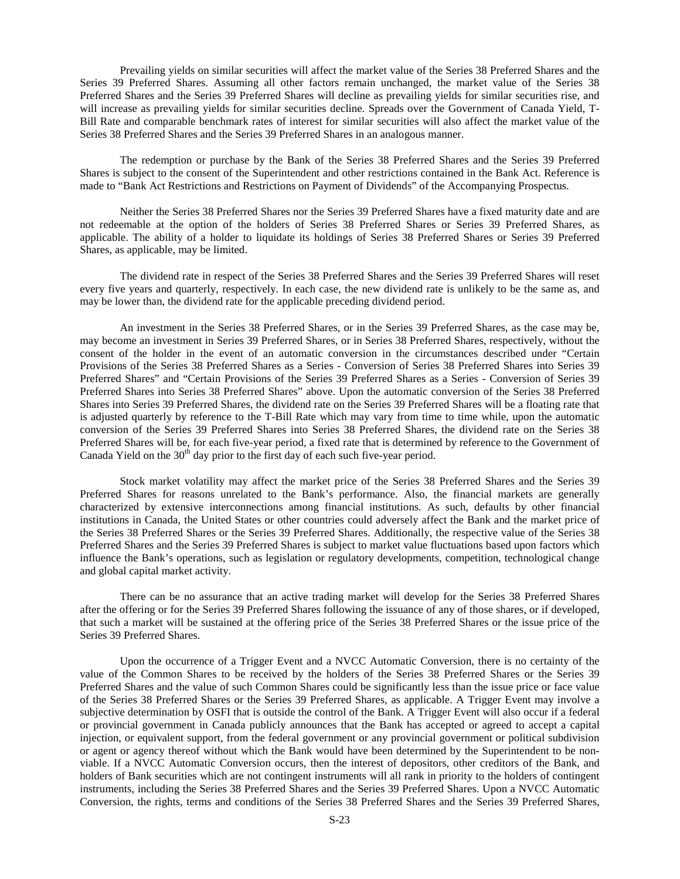Prevailing yields on similar securities will affect the market value of the Series 38 Preferred Shares and the Series 39 Preferred Shares. Assuming all other factors remain unchanged, the market value of the Series 38 Preferred Shares and the Series 39 Preferred Shares will decline as prevailing yields for similar securities rise, and will increase as prevailing yields for similar securities decline. Spreads over the Government of Canada Yield, T-Bill Rate and comparable benchmark rates of interest for similar securities will also affect the market value of the Series 38 Preferred Shares and the Series 39 Preferred Shares in an analogous manner.

The redemption or purchase by the Bank of the Series 38 Preferred Shares and the Series 39 Preferred Shares is subject to the consent of the Superintendent and other restrictions contained in the Bank Act. Reference is made to "Bank Act Restrictions and Restrictions on Payment of Dividends" of the Accompanying Prospectus.

Neither the Series 38 Preferred Shares nor the Series 39 Preferred Shares have a fixed maturity date and are not redeemable at the option of the holders of Series 38 Preferred Shares or Series 39 Preferred Shares, as applicable. The ability of a holder to liquidate its holdings of Series 38 Preferred Shares or Series 39 Preferred Shares, as applicable, may be limited.

The dividend rate in respect of the Series 38 Preferred Shares and the Series 39 Preferred Shares will reset every five years and quarterly, respectively. In each case, the new dividend rate is unlikely to be the same as, and may be lower than, the dividend rate for the applicable preceding dividend period.

An investment in the Series 38 Preferred Shares, or in the Series 39 Preferred Shares, as the case may be, may become an investment in Series 39 Preferred Shares, or in Series 38 Preferred Shares, respectively, without the consent of the holder in the event of an automatic conversion in the circumstances described under "Certain Provisions of the Series 38 Preferred Shares as a Series - Conversion of Series 38 Preferred Shares into Series 39 Preferred Shares" and "Certain Provisions of the Series 39 Preferred Shares as a Series - Conversion of Series 39 Preferred Shares into Series 38 Preferred Shares" above. Upon the automatic conversion of the Series 38 Preferred Shares into Series 39 Preferred Shares, the dividend rate on the Series 39 Preferred Shares will be a floating rate that is adjusted quarterly by reference to the T-Bill Rate which may vary from time to time while, upon the automatic conversion of the Series 39 Preferred Shares into Series 38 Preferred Shares, the dividend rate on the Series 38 Preferred Shares will be, for each five-year period, a fixed rate that is determined by reference to the Government of Canada Yield on the  $30<sup>th</sup>$  day prior to the first day of each such five-year period.

Stock market volatility may affect the market price of the Series 38 Preferred Shares and the Series 39 Preferred Shares for reasons unrelated to the Bank's performance. Also, the financial markets are generally characterized by extensive interconnections among financial institutions. As such, defaults by other financial institutions in Canada, the United States or other countries could adversely affect the Bank and the market price of the Series 38 Preferred Shares or the Series 39 Preferred Shares. Additionally, the respective value of the Series 38 Preferred Shares and the Series 39 Preferred Shares is subject to market value fluctuations based upon factors which influence the Bank's operations, such as legislation or regulatory developments, competition, technological change and global capital market activity.

There can be no assurance that an active trading market will develop for the Series 38 Preferred Shares after the offering or for the Series 39 Preferred Shares following the issuance of any of those shares, or if developed, that such a market will be sustained at the offering price of the Series 38 Preferred Shares or the issue price of the Series 39 Preferred Shares.

Upon the occurrence of a Trigger Event and a NVCC Automatic Conversion, there is no certainty of the value of the Common Shares to be received by the holders of the Series 38 Preferred Shares or the Series 39 Preferred Shares and the value of such Common Shares could be significantly less than the issue price or face value of the Series 38 Preferred Shares or the Series 39 Preferred Shares, as applicable. A Trigger Event may involve a subjective determination by OSFI that is outside the control of the Bank. A Trigger Event will also occur if a federal or provincial government in Canada publicly announces that the Bank has accepted or agreed to accept a capital injection, or equivalent support, from the federal government or any provincial government or political subdivision or agent or agency thereof without which the Bank would have been determined by the Superintendent to be nonviable. If a NVCC Automatic Conversion occurs, then the interest of depositors, other creditors of the Bank, and holders of Bank securities which are not contingent instruments will all rank in priority to the holders of contingent instruments, including the Series 38 Preferred Shares and the Series 39 Preferred Shares. Upon a NVCC Automatic Conversion, the rights, terms and conditions of the Series 38 Preferred Shares and the Series 39 Preferred Shares,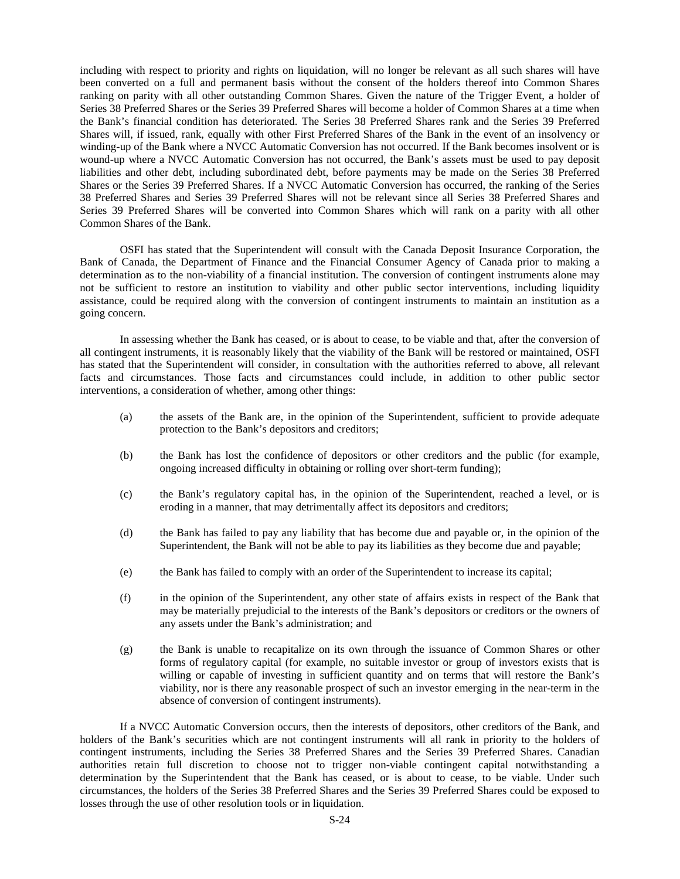including with respect to priority and rights on liquidation, will no longer be relevant as all such shares will have been converted on a full and permanent basis without the consent of the holders thereof into Common Shares ranking on parity with all other outstanding Common Shares. Given the nature of the Trigger Event, a holder of Series 38 Preferred Shares or the Series 39 Preferred Shares will become a holder of Common Shares at a time when the Bank's financial condition has deteriorated. The Series 38 Preferred Shares rank and the Series 39 Preferred Shares will, if issued, rank, equally with other First Preferred Shares of the Bank in the event of an insolvency or winding-up of the Bank where a NVCC Automatic Conversion has not occurred. If the Bank becomes insolvent or is wound-up where a NVCC Automatic Conversion has not occurred, the Bank's assets must be used to pay deposit liabilities and other debt, including subordinated debt, before payments may be made on the Series 38 Preferred Shares or the Series 39 Preferred Shares. If a NVCC Automatic Conversion has occurred, the ranking of the Series 38 Preferred Shares and Series 39 Preferred Shares will not be relevant since all Series 38 Preferred Shares and Series 39 Preferred Shares will be converted into Common Shares which will rank on a parity with all other Common Shares of the Bank.

OSFI has stated that the Superintendent will consult with the Canada Deposit Insurance Corporation, the Bank of Canada, the Department of Finance and the Financial Consumer Agency of Canada prior to making a determination as to the non-viability of a financial institution. The conversion of contingent instruments alone may not be sufficient to restore an institution to viability and other public sector interventions, including liquidity assistance, could be required along with the conversion of contingent instruments to maintain an institution as a going concern.

In assessing whether the Bank has ceased, or is about to cease, to be viable and that, after the conversion of all contingent instruments, it is reasonably likely that the viability of the Bank will be restored or maintained, OSFI has stated that the Superintendent will consider, in consultation with the authorities referred to above, all relevant facts and circumstances. Those facts and circumstances could include, in addition to other public sector interventions, a consideration of whether, among other things:

- (a) the assets of the Bank are, in the opinion of the Superintendent, sufficient to provide adequate protection to the Bank's depositors and creditors;
- (b) the Bank has lost the confidence of depositors or other creditors and the public (for example, ongoing increased difficulty in obtaining or rolling over short-term funding);
- (c) the Bank's regulatory capital has, in the opinion of the Superintendent, reached a level, or is eroding in a manner, that may detrimentally affect its depositors and creditors;
- (d) the Bank has failed to pay any liability that has become due and payable or, in the opinion of the Superintendent, the Bank will not be able to pay its liabilities as they become due and payable;
- (e) the Bank has failed to comply with an order of the Superintendent to increase its capital;
- (f) in the opinion of the Superintendent, any other state of affairs exists in respect of the Bank that may be materially prejudicial to the interests of the Bank's depositors or creditors or the owners of any assets under the Bank's administration; and
- (g) the Bank is unable to recapitalize on its own through the issuance of Common Shares or other forms of regulatory capital (for example, no suitable investor or group of investors exists that is willing or capable of investing in sufficient quantity and on terms that will restore the Bank's viability, nor is there any reasonable prospect of such an investor emerging in the near-term in the absence of conversion of contingent instruments).

If a NVCC Automatic Conversion occurs, then the interests of depositors, other creditors of the Bank, and holders of the Bank's securities which are not contingent instruments will all rank in priority to the holders of contingent instruments, including the Series 38 Preferred Shares and the Series 39 Preferred Shares. Canadian authorities retain full discretion to choose not to trigger non-viable contingent capital notwithstanding a determination by the Superintendent that the Bank has ceased, or is about to cease, to be viable. Under such circumstances, the holders of the Series 38 Preferred Shares and the Series 39 Preferred Shares could be exposed to losses through the use of other resolution tools or in liquidation.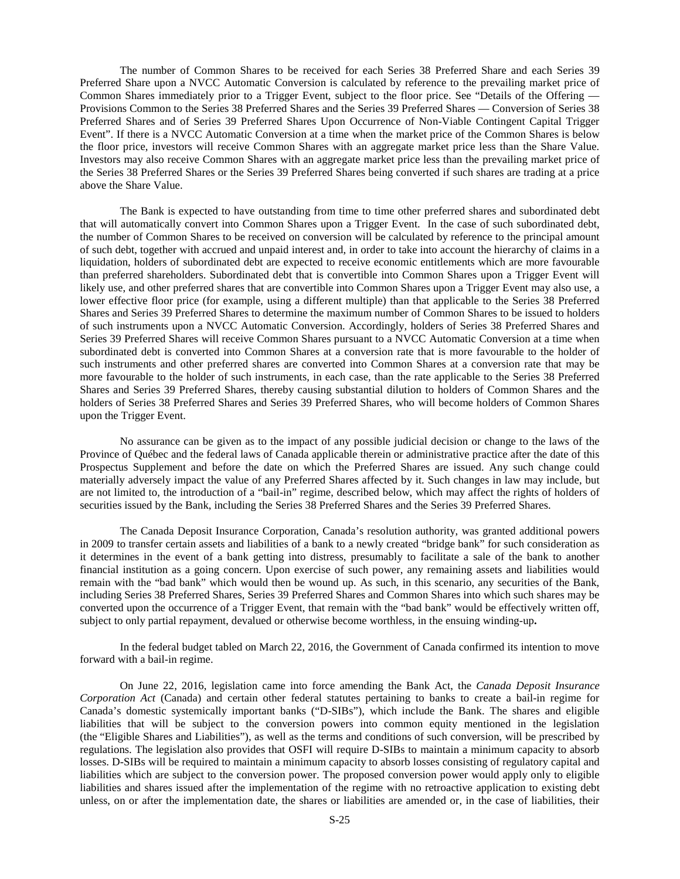The number of Common Shares to be received for each Series 38 Preferred Share and each Series 39 Preferred Share upon a NVCC Automatic Conversion is calculated by reference to the prevailing market price of Common Shares immediately prior to a Trigger Event, subject to the floor price. See "Details of the Offering — Provisions Common to the Series 38 Preferred Shares and the Series 39 Preferred Shares — Conversion of Series 38 Preferred Shares and of Series 39 Preferred Shares Upon Occurrence of Non-Viable Contingent Capital Trigger Event". If there is a NVCC Automatic Conversion at a time when the market price of the Common Shares is below the floor price, investors will receive Common Shares with an aggregate market price less than the Share Value. Investors may also receive Common Shares with an aggregate market price less than the prevailing market price of the Series 38 Preferred Shares or the Series 39 Preferred Shares being converted if such shares are trading at a price above the Share Value.

The Bank is expected to have outstanding from time to time other preferred shares and subordinated debt that will automatically convert into Common Shares upon a Trigger Event. In the case of such subordinated debt, the number of Common Shares to be received on conversion will be calculated by reference to the principal amount of such debt, together with accrued and unpaid interest and, in order to take into account the hierarchy of claims in a liquidation, holders of subordinated debt are expected to receive economic entitlements which are more favourable than preferred shareholders. Subordinated debt that is convertible into Common Shares upon a Trigger Event will likely use, and other preferred shares that are convertible into Common Shares upon a Trigger Event may also use, a lower effective floor price (for example, using a different multiple) than that applicable to the Series 38 Preferred Shares and Series 39 Preferred Shares to determine the maximum number of Common Shares to be issued to holders of such instruments upon a NVCC Automatic Conversion. Accordingly, holders of Series 38 Preferred Shares and Series 39 Preferred Shares will receive Common Shares pursuant to a NVCC Automatic Conversion at a time when subordinated debt is converted into Common Shares at a conversion rate that is more favourable to the holder of such instruments and other preferred shares are converted into Common Shares at a conversion rate that may be more favourable to the holder of such instruments, in each case, than the rate applicable to the Series 38 Preferred Shares and Series 39 Preferred Shares, thereby causing substantial dilution to holders of Common Shares and the holders of Series 38 Preferred Shares and Series 39 Preferred Shares, who will become holders of Common Shares upon the Trigger Event.

No assurance can be given as to the impact of any possible judicial decision or change to the laws of the Province of Québec and the federal laws of Canada applicable therein or administrative practice after the date of this Prospectus Supplement and before the date on which the Preferred Shares are issued. Any such change could materially adversely impact the value of any Preferred Shares affected by it. Such changes in law may include, but are not limited to, the introduction of a "bail-in" regime, described below, which may affect the rights of holders of securities issued by the Bank, including the Series 38 Preferred Shares and the Series 39 Preferred Shares.

The Canada Deposit Insurance Corporation, Canada's resolution authority, was granted additional powers in 2009 to transfer certain assets and liabilities of a bank to a newly created "bridge bank" for such consideration as it determines in the event of a bank getting into distress, presumably to facilitate a sale of the bank to another financial institution as a going concern. Upon exercise of such power, any remaining assets and liabilities would remain with the "bad bank" which would then be wound up. As such, in this scenario, any securities of the Bank, including Series 38 Preferred Shares, Series 39 Preferred Shares and Common Shares into which such shares may be converted upon the occurrence of a Trigger Event, that remain with the "bad bank" would be effectively written off, subject to only partial repayment, devalued or otherwise become worthless, in the ensuing winding-up**.**

In the federal budget tabled on March 22, 2016, the Government of Canada confirmed its intention to move forward with a bail-in regime.

On June 22, 2016, legislation came into force amending the Bank Act, the *Canada Deposit Insurance Corporation Act* (Canada) and certain other federal statutes pertaining to banks to create a bail-in regime for Canada's domestic systemically important banks ("D-SIBs"), which include the Bank. The shares and eligible liabilities that will be subject to the conversion powers into common equity mentioned in the legislation (the "Eligible Shares and Liabilities"), as well as the terms and conditions of such conversion, will be prescribed by regulations. The legislation also provides that OSFI will require D-SIBs to maintain a minimum capacity to absorb losses. D-SIBs will be required to maintain a minimum capacity to absorb losses consisting of regulatory capital and liabilities which are subject to the conversion power. The proposed conversion power would apply only to eligible liabilities and shares issued after the implementation of the regime with no retroactive application to existing debt unless, on or after the implementation date, the shares or liabilities are amended or, in the case of liabilities, their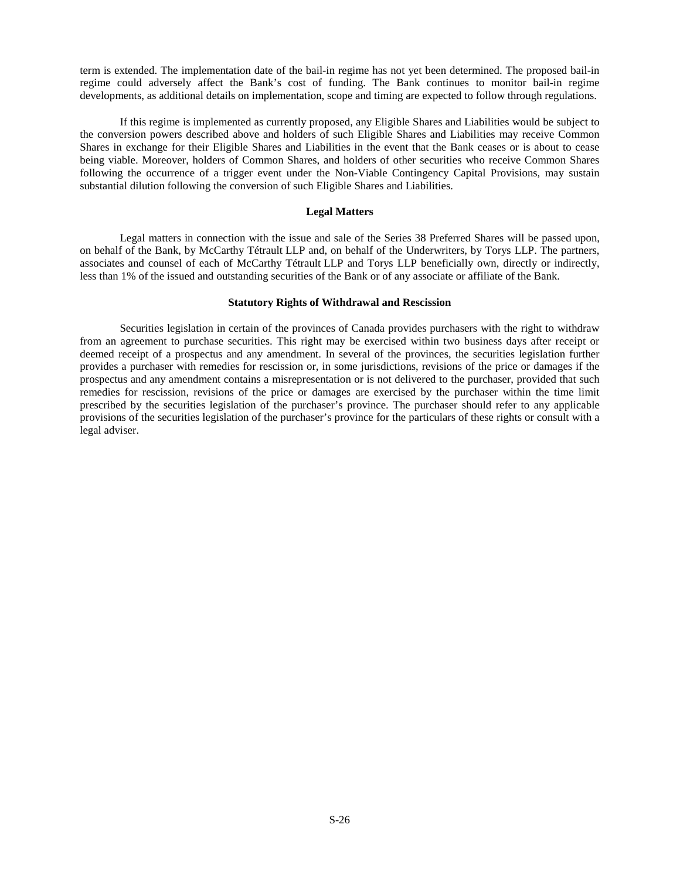term is extended. The implementation date of the bail-in regime has not yet been determined. The proposed bail-in regime could adversely affect the Bank's cost of funding. The Bank continues to monitor bail-in regime developments, as additional details on implementation, scope and timing are expected to follow through regulations.

If this regime is implemented as currently proposed, any Eligible Shares and Liabilities would be subject to the conversion powers described above and holders of such Eligible Shares and Liabilities may receive Common Shares in exchange for their Eligible Shares and Liabilities in the event that the Bank ceases or is about to cease being viable. Moreover, holders of Common Shares, and holders of other securities who receive Common Shares following the occurrence of a trigger event under the Non-Viable Contingency Capital Provisions, may sustain substantial dilution following the conversion of such Eligible Shares and Liabilities.

### <span id="page-25-0"></span>**Legal Matters**

Legal matters in connection with the issue and sale of the Series 38 Preferred Shares will be passed upon, on behalf of the Bank, by McCarthy Tétrault LLP and, on behalf of the Underwriters, by Torys LLP. The partners, associates and counsel of each of McCarthy Tétrault LLP and Torys LLP beneficially own, directly or indirectly, less than 1% of the issued and outstanding securities of the Bank or of any associate or affiliate of the Bank.

## <span id="page-25-1"></span>**Statutory Rights of Withdrawal and Rescission**

Securities legislation in certain of the provinces of Canada provides purchasers with the right to withdraw from an agreement to purchase securities. This right may be exercised within two business days after receipt or deemed receipt of a prospectus and any amendment. In several of the provinces, the securities legislation further provides a purchaser with remedies for rescission or, in some jurisdictions, revisions of the price or damages if the prospectus and any amendment contains a misrepresentation or is not delivered to the purchaser, provided that such remedies for rescission, revisions of the price or damages are exercised by the purchaser within the time limit prescribed by the securities legislation of the purchaser's province. The purchaser should refer to any applicable provisions of the securities legislation of the purchaser's province for the particulars of these rights or consult with a legal adviser.